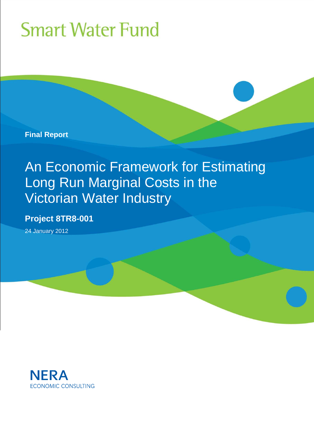**Final Report** 

# An Economic Framework for Estimating Long Run Marginal Costs in the Victorian Water Industry

### **Project 8TR8-001**

24 January 2012

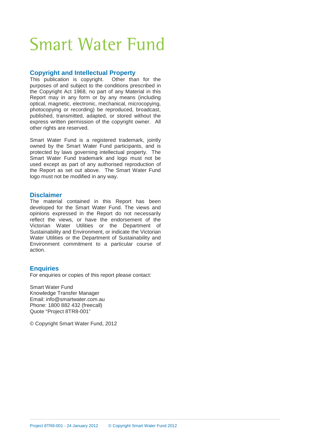#### **Copyright and Intellectual Property**

This publication is copyright. Other than for the purposes of and subject to the conditions prescribed in the Copyright Act 1968, no part of any Material in this Report may in any form or by any means (including optical, magnetic, electronic, mechanical, microcopying, photocopying or recording) be reproduced, broadcast, published, transmitted, adapted, or stored without the express written permission of the copyright owner. All other rights are reserved.

Smart Water Fund is a registered trademark, jointly owned by the Smart Water Fund participants, and is protected by laws governing intellectual property. The Smart Water Fund trademark and logo must not be used except as part of any authorised reproduction of the Report as set out above. The Smart Water Fund logo must not be modified in any way.

#### **Disclaimer**

The material contained in this Report has been developed for the Smart Water Fund. The views and opinions expressed in the Report do not necessarily reflect the views, or have the endorsement of the Victorian Water Utilities or the Department of Sustainability and Environment, or indicate the Victorian Water Utilities or the Department of Sustainability and Environment commitment to a particular course of action.

#### **Enquiries**

For enquiries or copies of this report please contact:

Smart Water Fund Knowledge Transfer Manager Email: info@smartwater.com.au Phone: 1800 882 432 (freecall) Quote "Project 8TR8-001"

© Copyright Smart Water Fund, 2012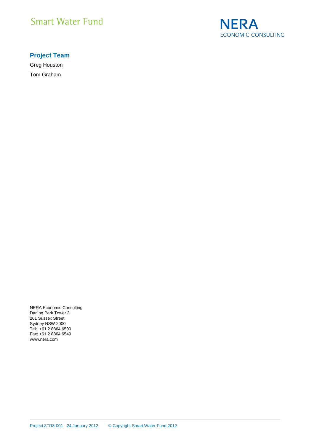

#### **Project Team**

Greg Houston Tom Graham

NERA Economic Consulting Darling Park Tower 3 201 Sussex Street Sydney NSW 2000 Tel: +61 2 8864 6500 Fax: +61 2 8864 6549 www.nera.com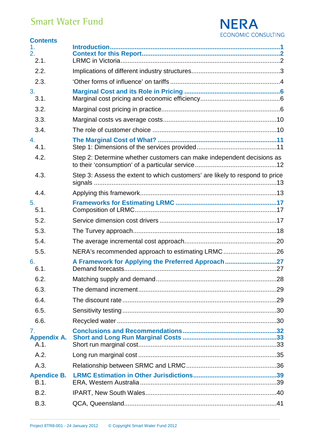

| <b>Contents</b>                  |                                                                              |  |
|----------------------------------|------------------------------------------------------------------------------|--|
| 1.<br>2.<br>2.1.                 |                                                                              |  |
| 2.2.                             |                                                                              |  |
| 2.3.                             |                                                                              |  |
| 3.<br>3.1.                       |                                                                              |  |
| 3.2.                             |                                                                              |  |
| 3.3.                             |                                                                              |  |
| 3.4.                             |                                                                              |  |
| 4.<br>4.1.                       |                                                                              |  |
| 4.2.                             | Step 2: Determine whether customers can make independent decisions as        |  |
| 4.3.                             | Step 3: Assess the extent to which customers' are likely to respond to price |  |
| 4.4.                             |                                                                              |  |
| 5.<br>5.1.                       |                                                                              |  |
| 5.2.                             |                                                                              |  |
| 5.3.                             |                                                                              |  |
| 5.4.                             |                                                                              |  |
| 5.5.                             | NERA's recommended approach to estimating LRMC26                             |  |
| 6.<br>6.1.                       | A Framework for Applying the Preferred Approach27                            |  |
| 6.2.                             |                                                                              |  |
| 6.3.                             |                                                                              |  |
| 6.4.                             |                                                                              |  |
| 6.5.                             |                                                                              |  |
| 6.6.                             |                                                                              |  |
| 7.<br><b>Appendix A.</b><br>A.1. |                                                                              |  |
| A.2.                             |                                                                              |  |
| A.3.                             |                                                                              |  |
| <b>Apendice B.</b><br>B.1.       |                                                                              |  |
| B.2.                             |                                                                              |  |
| B.3.                             |                                                                              |  |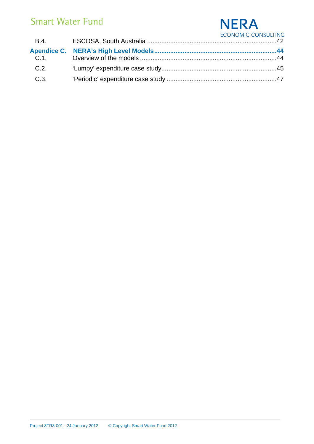### **NERA** ECONOMIC CONSULTING

|      | LUUNUMIU UUNJULIINU |
|------|---------------------|
|      |                     |
|      |                     |
| C.2. |                     |
| C.3. |                     |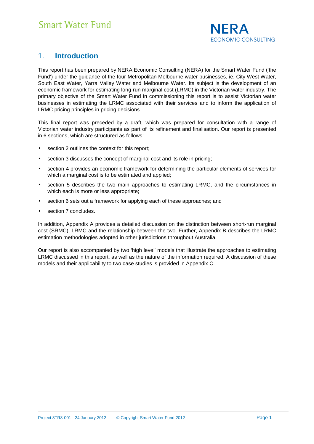

### 1. **Introduction**

This report has been prepared by NERA Economic Consulting (NERA) for the Smart Water Fund ('the Fund') under the guidance of the four Metropolitan Melbourne water businesses, ie, City West Water, South East Water, Yarra Valley Water and Melbourne Water. Its subject is the development of an economic framework for estimating long-run marginal cost (LRMC) in the Victorian water industry. The primary objective of the Smart Water Fund in commissioning this report is to assist Victorian water businesses in estimating the LRMC associated with their services and to inform the application of LRMC pricing principles in pricing decisions.

This final report was preceded by a draft, which was prepared for consultation with a range of Victorian water industry participants as part of its refinement and finalisation. Our report is presented in 6 sections, which are structured as follows:

- section 2 outlines the context for this report;
- section 3 discusses the concept of marginal cost and its role in pricing;
- section 4 provides an economic framework for determining the particular elements of services for which a marginal cost is to be estimated and applied;
- section 5 describes the two main approaches to estimating LRMC, and the circumstances in which each is more or less appropriate;
- section 6 sets out a framework for applying each of these approaches; and
- section 7 concludes.

In addition, Appendix A provides a detailed discussion on the distinction between short-run marginal cost (SRMC), LRMC and the relationship between the two. Further, Appendix B describes the LRMC estimation methodologies adopted in other jurisdictions throughout Australia.

Our report is also accompanied by two 'high level' models that illustrate the approaches to estimating LRMC discussed in this report, as well as the nature of the information required. A discussion of these models and their applicability to two case studies is provided in Appendix C.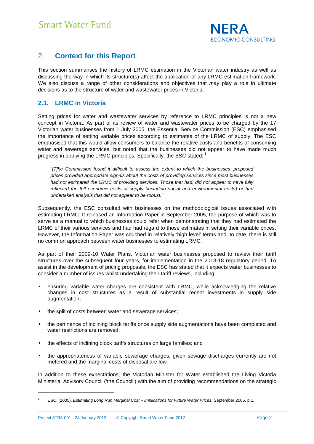

### 2. **Context for this Report**

This section summarises the history of LRMC estimation in the Victorian water industry as well as discussing the way in which its structure(s) affect the application of any LRMC estimation framework. We also discuss a range of other considerations and objectives that may play a role in ultimate decisions as to the structure of water and wastewater prices in Victoria.

#### **2.1. LRMC in Victoria**

Setting prices for water and wastewater services by reference to LRMC principles is not a new concept in Victoria. As part of its review of water and wastewater prices to be charged by the 17 Victorian water businesses from 1 July 2005, the Essential Service Commission (ESC) emphasised the importance of setting variable prices according to estimates of the LRMC of supply. The ESC emphasised that this would allow consumers to balance the relative costs and benefits of consuming water and sewerage services, but noted that the businesses did not appear to have made much progress in applying the LRMC principles. Specifically, the ESC stated:  $1$ 

"[T]he Commission found it difficult to assess the extent to which the businesses' proposed prices provided appropriate signals about the costs of providing services since most businesses had not estimated the LRMC of providing services. Those that had, did not appear to have fully reflected the full economic costs of supply (including social and environmental costs) or had undertaken analysis that did not appear to be robust."

Subsequently, the ESC consulted with businesses on the methodological issues associated with estimating LRMC. It released an Information Paper in September 2005, the purpose of which was to serve as a manual to which businesses could refer when demonstrating that they had estimated the LRMC of their various services and had had regard to those estimates in setting their variable prices. However, the Information Paper was couched in relatively 'high level' terms and, to date, there is still no common approach between water businesses to estimating LRMC.

As part of their 2009-10 Water Plans, Victorian water businesses proposed to review their tariff structures over the subsequent four years, for implementation in the 2013-18 regulatory period. To assist in the development of pricing proposals, the ESC has stated that it expects water businesses to consider a number of issues whilst undertaking their tariff reviews, including:

- ensuring variable water charges are consistent with LRMC, while acknowledging the relative changes in cost structures as a result of substantial recent investments in supply side augmentation;
- the split of costs between water and sewerage services:
- the pertinence of inclining block tariffs once supply side augmentations have been completed and water restrictions are removed;
- the effects of inclining block tariffs structures on large families; and
- the appropriateness of variable sewerage charges, given sewage discharges currently are not metered and the marginal costs of disposal are low.

In addition to these expectations, the Victorian Minister for Water established the Living Victoria Ministerial Advisory Council ('the Council') with the aim of providing recommendations on the strategic

<sup>1</sup> ESC, (2005), Estimating Long Run Marginal Cost – Implications for Future Water Prices, September 2005, p.1.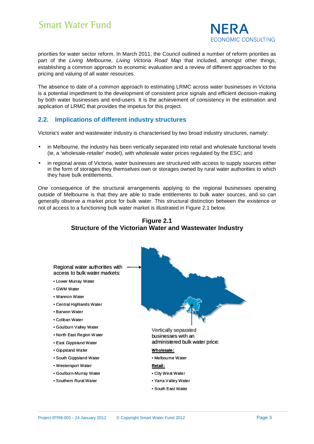

priorities for water sector reform. In March 2011, the Council outlined a number of reform priorities as part of the Living Melbourne, Living Victoria Road Map that included, amongst other things, establishing a common approach to economic evaluation and a review of different approaches to the pricing and valuing of all water resources.

The absence to date of a common approach to estimating LRMC across water businesses in Victoria is a potential impediment to the development of consistent price signals and efficient decision-making by both water businesses and end-users. It is the achievement of consistency in the estimation and application of LRMC that provides the impetus for this project.

#### **2.2. Implications of different industry structures**

Victoria's water and wastewater industry is characterised by two broad industry structures, namely:

- in Melbourne, the industry has been vertically separated into retail and wholesale functional levels (ie, a 'wholesale-retailer' model), with wholesale water prices regulated by the ESC; and
- in regional areas of Victoria, water businesses are structured with access to supply sources either in the form of storages they themselves own or storages owned by rural water authorities to which they have bulk entitlements.

One consequence of the structural arrangements applying to the regional businesses operating outside of Melbourne is that they are able to trade entitlements to bulk water sources, and so can generally observe a market price for bulk water. This structural distinction between the existence or not of access to a functioning bulk water market is illustrated in Figure 2.1 below.



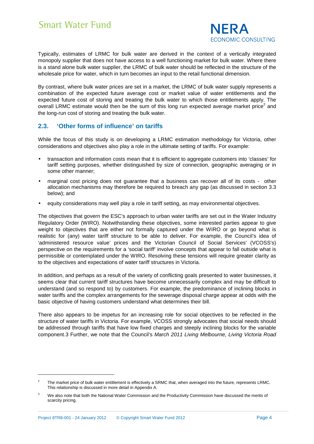

Typically, estimates of LRMC for bulk water are derived in the context of a vertically integrated monopoly supplier that does not have access to a well functioning market for bulk water. Where there is a stand alone bulk water supplier, the LRMC of bulk water should be reflected in the structure of the wholesale price for water, which in turn becomes an input to the retail functional dimension.

By contrast, where bulk water prices are set in a market, the LRMC of bulk water supply represents a combination of the expected future average cost or market value of water entitlements and the expected future cost of storing and treating the bulk water to which those entitlements apply. The overall LRMC estimate would then be the sum of this long run expected average market price<sup>2</sup> and the long-run cost of storing and treating the bulk water.

#### **2.3. 'Other forms of influence' on tariffs**

While the focus of this study is on developing a LRMC estimation methodology for Victoria, other considerations and objectives also play a role in the ultimate setting of tariffs. For example:

- transaction and information costs mean that it is efficient to aggregate customers into 'classes' for tariff setting purposes, whether distinguished by size of connection, geographic averaging or in some other manner;
- marginal cost pricing does not guarantee that a business can recover all of its costs other allocation mechanisms may therefore be required to breach any gap (as discussed in section 3.3 below); and
- equity considerations may well play a role in tariff setting, as may environmental objectives.

The objectives that govern the ESC's approach to urban water tariffs are set out in the Water Industry Regulatory Order (WIRO). Notwithstanding these objectives, some interested parties appear to give weight to objectives that are either not formally captured under the WIRO or go beyond what is realistic for (any) water tariff structure to be able to deliver. For example, the Council's idea of 'administered resource value' prices and the Victorian Council of Social Services' (VCOSS's) perspective on the requirements for a 'social tariff' involve concepts that appear to fall outside what is permissible or contemplated under the WIRO. Resolving these tensions will require greater clarity as to the objectives and expectations of water tariff structures in Victoria.

In addition, and perhaps as a result of the variety of conflicting goals presented to water businesses, it seems clear that current tariff structures have become unnecessarily complex and may be difficult to understand (and so respond to) by customers. For example, the predominance of inclining blocks in water tariffs and the complex arrangements for the sewerage disposal charge appear at odds with the basic objective of having customers understand what determines their bill.

There also appears to be impetus for an increasing role for social objectives to be reflected in the structure of water tariffs in Victoria. For example, VCOSS strongly advocates that social needs should be addressed through tariffs that have low fixed charges and steeply inclining blocks for the variable component.3 Further, we note that the Council's March 2011 Living Melbourne, Living Victoria Road

<sup>2</sup> The market price of bulk water entitlement is effectively a SRMC that, when averaged into the future, represents LRMC. This relationship is discussed in more detail in Appendix A.

<sup>3</sup> We also note that both the National Water Commission and the Productivity Commission have discussed the merits of scarcity pricing.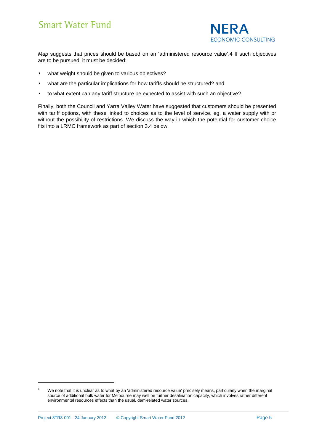

Map suggests that prices should be based on an 'administered resource value'.4 If such objectives are to be pursued, it must be decided:

- what weight should be given to various objectives?
- what are the particular implications for how tariffs should be structured? and
- to what extent can any tariff structure be expected to assist with such an objective?

Finally, both the Council and Yarra Valley Water have suggested that customers should be presented with tariff options, with these linked to choices as to the level of service, eg, a water supply with or without the possibility of restrictions. We discuss the way in which the potential for customer choice fits into a LRMC framework as part of section 3.4 below.

<sup>4</sup> We note that it is unclear as to what by an 'administered resource value' precisely means, particularly when the marginal source of additional bulk water for Melbourne may well be further desalination capacity, which involves rather different environmental resources effects than the usual, dam-related water sources.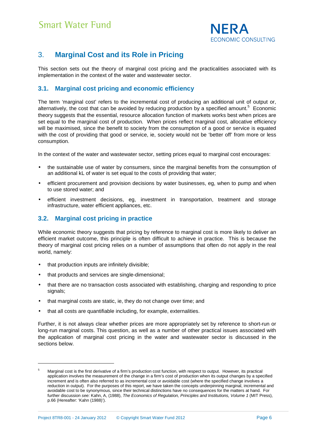

### 3. **Marginal Cost and its Role in Pricing**

This section sets out the theory of marginal cost pricing and the practicalities associated with its implementation in the context of the water and wastewater sector.

#### **3.1. Marginal cost pricing and economic efficiency**

The term 'marginal cost' refers to the incremental cost of producing an additional unit of output or, alternatively, the cost that can be avoided by reducing production by a specified amount.<sup>5</sup> Economic theory suggests that the essential, resource allocation function of markets works best when prices are set equal to the marginal cost of production. When prices reflect marginal cost, allocative efficiency will be maximised, since the benefit to society from the consumption of a good or service is equated with the cost of providing that good or service, ie, society would not be 'better off' from more or less consumption.

In the context of the water and wastewater sector, setting prices equal to marginal cost encourages:

- the sustainable use of water by consumers, since the marginal benefits from the consumption of an additional kL of water is set equal to the costs of providing that water;
- efficient procurement and provision decisions by water businesses, eg, when to pump and when to use stored water; and
- efficient investment decisions, eg, investment in transportation, treatment and storage infrastructure, water efficient appliances, etc.

#### **3.2. Marginal cost pricing in practice**

While economic theory suggests that pricing by reference to marginal cost is more likely to deliver an efficient market outcome, this principle is often difficult to achieve in practice. This is because the theory of marginal cost pricing relies on a number of assumptions that often do not apply in the real world, namely:

that production inputs are infinitely divisible;

l

- that products and services are single-dimensional;
- that there are no transaction costs associated with establishing, charging and responding to price signals;
- that marginal costs are static, ie, they do not change over time; and
- that all costs are quantifiable including, for example, externalities.

Further, it is not always clear whether prices are more appropriately set by reference to short-run or long-run marginal costs. This question, as well as a number of other practical issues associated with the application of marginal cost pricing in the water and wastewater sector is discussed in the sections below.

<sup>5</sup> Marginal cost is the first derivative of a firm's production cost function, with respect to output. However, its practical application involves the measurement of the change in a firm's cost of production when its output changes by a specified increment and is often also referred to as incremental cost or avoidable cost (where the specified change involves a reduction in output). For the purposes of this report, we have taken the concepts underpinning marginal, incremental and avoidable cost to be synonymous, since their technical distinctions have no consequences for the matters at hand. For further discussion see: Kahn, A, (1988), The Economics of Regulation, Principles and Institutions, Volume 1 (MIT Press), p.66 (Hereafter: 'Kahn (1988)').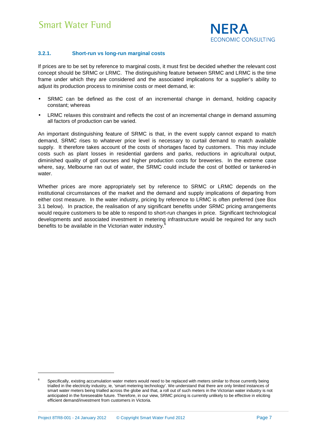

#### **3.2.1. Short-run vs long-run marginal costs**

If prices are to be set by reference to marginal costs, it must first be decided whether the relevant cost concept should be SRMC or LRMC. The distinguishing feature between SRMC and LRMC is the time frame under which they are considered and the associated implications for a supplier's ability to adjust its production process to minimise costs or meet demand, ie:

- SRMC can be defined as the cost of an incremental change in demand, holding capacity constant; whereas
- LRMC relaxes this constraint and reflects the cost of an incremental change in demand assuming all factors of production can be varied.

An important distinguishing feature of SRMC is that, in the event supply cannot expand to match demand, SRMC rises to whatever price level is necessary to curtail demand to match available supply. It therefore takes account of the costs of shortages faced by customers. This may include costs such as plant losses in residential gardens and parks, reductions in agricultural output, diminished quality of golf courses and higher production costs for breweries. In the extreme case where, say, Melbourne ran out of water, the SRMC could include the cost of bottled or tankered-in water.

Whether prices are more appropriately set by reference to SRMC or LRMC depends on the institutional circumstances of the market and the demand and supply implications of departing from either cost measure. In the water industry, pricing by reference to LRMC is often preferred (see Box 3.1 below). In practice, the realisation of any significant benefits under SRMC pricing arrangements would require customers to be able to respond to short-run changes in price. Significant technological developments and associated investment in metering infrastructure would be required for any such benefits to be available in the Victorian water industry.<sup>6</sup>

<sup>6</sup> Specifically, existing accumulation water meters would need to be replaced with meters similar to those currently being trialled in the electricity industry, ie, 'smart metering technology'. We understand that there are only limited instances of smart water meters being trialled across the globe and that, a roll out of such meters in the Victorian water industry is not anticipated in the foreseeable future. Therefore, in our view, SRMC pricing is currently unlikely to be effective in eliciting efficient demand/investment from customers in Victoria.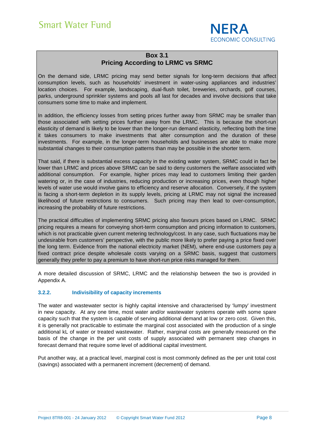

#### **Box 3.1 Pricing According to LRMC vs SRMC**

On the demand side, LRMC pricing may send better signals for long-term decisions that affect consumption levels, such as households' investment in water-using appliances and industries' location choices. For example, landscaping, dual-flush toilet, breweries, orchards, golf courses, parks, underground sprinkler systems and pools all last for decades and involve decisions that take consumers some time to make and implement.

In addition, the efficiency losses from setting prices further away from SRMC may be smaller than those associated with setting prices further away from the LRMC. This is because the short-run elasticity of demand is likely to be lower than the longer-run demand elasticity, reflecting both the time it takes consumers to make investments that alter consumption and the duration of these investments. For example, in the longer-term households and businesses are able to make more substantial changes to their consumption patterns than may be possible in the shorter term.

That said, if there is substantial excess capacity in the existing water system, SRMC could in fact be lower than LRMC and prices above SRMC can be said to deny customers the welfare associated with additional consumption. For example, higher prices may lead to customers limiting their garden watering or, in the case of industries, reducing production or increasing prices, even though higher levels of water use would involve gains to efficiency and reserve allocation. Conversely, if the system is facing a short-term depletion in its supply levels, pricing at LRMC may not signal the increased likelihood of future restrictions to consumers. Such pricing may then lead to over-consumption, increasing the probability of future restrictions.

The practical difficulties of implementing SRMC pricing also favours prices based on LRMC. SRMC pricing requires a means for conveying short-term consumption and pricing information to customers, which is not practicable given current metering technology/cost. In any case, such fluctuations may be undesirable from customers' perspective, with the public more likely to prefer paying a price fixed over the long term. Evidence from the national electricity market (NEM), where end-use customers pay a fixed contract price despite wholesale costs varying on a SRMC basis, suggest that customers generally they prefer to pay a premium to have short-run price risks managed for them.

A more detailed discussion of SRMC, LRMC and the relationship between the two is provided in Appendix A.

#### **3.2.2. Indivisibility of capacity increments**

The water and wastewater sector is highly capital intensive and characterised by 'lumpy' investment in new capacity. At any one time, most water and/or wastewater systems operate with some spare capacity such that the system is capable of serving additional demand at low or zero cost. Given this, it is generally not practicable to estimate the marginal cost associated with the production of a single additional kL of water or treated wastewater. Rather, marginal costs are generally measured on the basis of the change in the per unit costs of supply associated with permanent step changes in forecast demand that require some level of additional capital investment.

Put another way, at a practical level, marginal cost is most commonly defined as the per unit total cost (savings) associated with a permanent increment (decrement) of demand.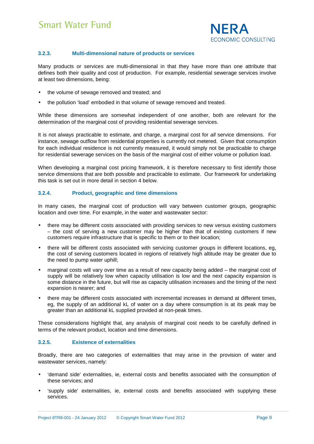

#### **3.2.3. Multi-dimensional nature of products or services**

Many products or services are multi-dimensional in that they have more than one attribute that defines both their quality and cost of production. For example, residential sewerage services involve at least two dimensions, being:

- the volume of sewage removed and treated; and
- the pollution 'load' embodied in that volume of sewage removed and treated.

While these dimensions are somewhat independent of one another, both are relevant for the determination of the marginal cost of providing residential sewerage services.

It is not always practicable to estimate, and charge, a marginal cost for all service dimensions. For instance, sewage outflow from residential properties is currently not metered. Given that consumption for each individual residence is not currently measured, it would simply not be practicable to charge for residential sewerage services on the basis of the marginal cost of either volume or pollution load.

When developing a marginal cost pricing framework, it is therefore necessary to first identify those service dimensions that are both possible and practicable to estimate. Our framework for undertaking this task is set out in more detail in section 4 below.

#### **3.2.4. Product, geographic and time dimensions**

In many cases, the marginal cost of production will vary between customer groups, geographic location and over time. For example, in the water and wastewater sector:

- there may be different costs associated with providing services to new versus existing customers – the cost of serving a new customer may be higher than that of existing customers if new customers require infrastructure that is specific to them or to their location;
- there will be different costs associated with servicing customer groups in different locations, eg, the cost of serving customers located in regions of relatively high altitude may be greater due to the need to pump water uphill;
- marginal costs will vary over time as a result of new capacity being added the marginal cost of supply will be relatively low when capacity utilisation is low and the next capacity expansion is some distance in the future, but will rise as capacity utilisation increases and the timing of the next expansion is nearer; and
- there may be different costs associated with incremental increases in demand at different times, eg, the supply of an additional kL of water on a day where consumption is at its peak may be greater than an additional kL supplied provided at non-peak times.

These considerations highlight that, any analysis of marginal cost needs to be carefully defined in terms of the relevant product, location and time dimensions.

#### **3.2.5. Existence of externalities**

Broadly, there are two categories of externalities that may arise in the provision of water and wastewater services, namely:

- 'demand side' externalities, ie, external costs and benefits associated with the consumption of these services; and
- 'supply side' externalities, ie, external costs and benefits associated with supplying these services.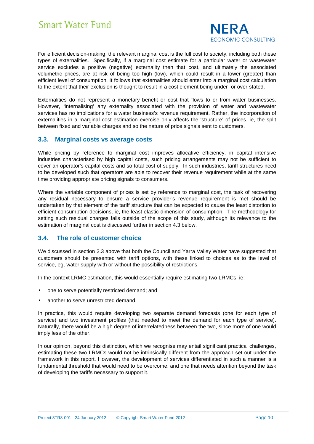

For efficient decision-making, the relevant marginal cost is the full cost to society, including both these types of externalities. Specifically, if a marginal cost estimate for a particular water or wastewater service excludes a positive (negative) externality then that cost, and ultimately the associated volumetric prices, are at risk of being too high (low), which could result in a lower (greater) than efficient level of consumption. It follows that externalities should enter into a marginal cost calculation to the extent that their exclusion is thought to result in a cost element being under- or over-stated.

Externalities do not represent a monetary benefit or cost that flows to or from water businesses. However, 'internalising' any externality associated with the provision of water and wastewater services has no implications for a water business's revenue requirement. Rather, the incorporation of externalities in a marginal cost estimation exercise only affects the 'structure' of prices, ie, the split between fixed and variable charges and so the nature of price signals sent to customers.

#### **3.3. Marginal costs vs average costs**

While pricing by reference to marginal cost improves allocative efficiency, in capital intensive industries characterised by high capital costs, such pricing arrangements may not be sufficient to cover an operator's capital costs and so total cost of supply. In such industries, tariff structures need to be developed such that operators are able to recover their revenue requirement while at the same time providing appropriate pricing signals to consumers.

Where the variable component of prices is set by reference to marginal cost, the task of recovering any residual necessary to ensure a service provider's revenue requirement is met should be undertaken by that element of the tariff structure that can be expected to cause the least distortion to efficient consumption decisions, ie, the least elastic dimension of consumption. The methodology for setting such residual charges falls outside of the scope of this study, although its relevance to the estimation of marginal cost is discussed further in section 4.3 below.

#### **3.4. The role of customer choice**

We discussed in section 2.3 above that both the Council and Yarra Valley Water have suggested that customers should be presented with tariff options, with these linked to choices as to the level of service, eg, water supply with or without the possibility of restrictions.

In the context LRMC estimation, this would essentially require estimating two LRMCs, ie:

- one to serve potentially restricted demand; and
- another to serve unrestricted demand.

In practice, this would require developing two separate demand forecasts (one for each type of service) and two investment profiles (that needed to meet the demand for each type of service). Naturally, there would be a high degree of interrelatedness between the two, since more of one would imply less of the other.

In our opinion, beyond this distinction, which we recognise may entail significant practical challenges, estimating these two LRMCs would not be intrinsically different from the approach set out under the framework in this report. However, the development of services differentiated in such a manner is a fundamental threshold that would need to be overcome, and one that needs attention beyond the task of developing the tariffs necessary to support it.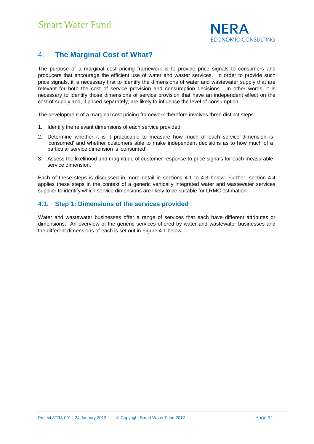

### 4. **The Marginal Cost of What?**

The purpose of a marginal cost pricing framework is to provide price signals to consumers and producers that encourage the efficient use of water and waster services. In order to provide such price signals, it is necessary first to identify the dimensions of water and wastewater supply that are relevant for both the cost of service provision and consumption decisions. In other words, it is necessary to identify those dimensions of service provision that have an independent effect on the cost of supply and, if priced separately, are likely to influence the level of consumption.

The development of a marginal cost pricing framework therefore involves three distinct steps:

- 1. Identify the relevant dimensions of each service provided.
- 2. Determine whether it is it practicable to measure how much of each service dimension is 'consumed' and whether customers able to make independent decisions as to how much of a particular service dimension is 'consumed'.
- 3. Assess the likelihood and magnitude of customer response to price signals for each measurable service dimension.

Each of these steps is discussed in more detail in sections 4.1 to 4.3 below. Further, section 4.4 applies these steps in the context of a generic vertically integrated water and wastewater services supplier to identify which service dimensions are likely to be suitable for LRMC estimation.

#### **4.1. Step 1: Dimensions of the services provided**

Water and wastewater businesses offer a range of services that each have different attributes or dimensions. An overview of the generic services offered by water and wastewater businesses and the different dimensions of each is set out in Figure 4.1 below.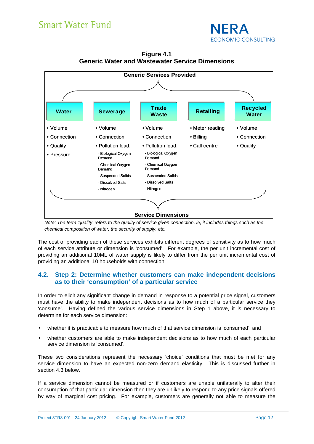



**Figure 4.1 Generic Water and Wastewater Service Dimensions** 

The cost of providing each of these services exhibits different degrees of sensitivity as to how much of each service attribute or dimension is 'consumed'. For example, the per unit incremental cost of providing an additional 10ML of water supply is likely to differ from the per unit incremental cost of providing an additional 10 households with connection.

#### **4.2. Step 2: Determine whether customers can make independent decisions as to their 'consumption' of a particular service**

In order to elicit any significant change in demand in response to a potential price signal, customers must have the ability to make independent decisions as to how much of a particular service they 'consume'. Having defined the various service dimensions in Step 1 above, it is necessary to determine for each service dimension:

- whether it is practicable to measure how much of that service dimension is 'consumed'; and
- whether customers are able to make independent decisions as to how much of each particular service dimension is 'consumed'.

These two considerations represent the necessary 'choice' conditions that must be met for any service dimension to have an expected non-zero demand elasticity. This is discussed further in section 4.3 below.

If a service dimension cannot be measured or if customers are unable unilaterally to alter their consumption of that particular dimension then they are unlikely to respond to any price signals offered by way of marginal cost pricing. For example, customers are generally not able to measure the

Note: The term 'quality' refers to the quality of service given connection, ie, it includes things such as the chemical composition of water, the security of supply, etc.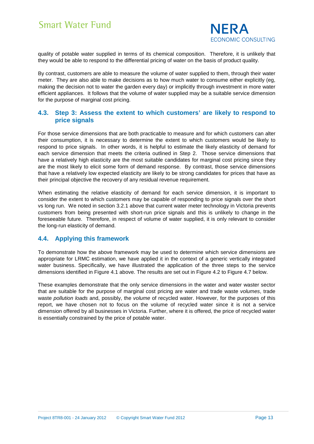

quality of potable water supplied in terms of its chemical composition. Therefore, it is unlikely that they would be able to respond to the differential pricing of water on the basis of product quality.

By contrast, customers are able to measure the volume of water supplied to them, through their water meter. They are also able to make decisions as to how much water to consume either explicitly (eg, making the decision not to water the garden every day) or implicitly through investment in more water efficient appliances. It follows that the volume of water supplied may be a suitable service dimension for the purpose of marginal cost pricing.

#### **4.3. Step 3: Assess the extent to which customers' are likely to respond to price signals**

For those service dimensions that are both practicable to measure and for which customers can alter their consumption, it is necessary to determine the extent to which customers would be likely to respond to price signals. In other words, it is helpful to estimate the likely elasticity of demand for each service dimension that meets the criteria outlined in Step 2. Those service dimensions that have a relatively high elasticity are the most suitable candidates for marginal cost pricing since they are the most likely to elicit some form of demand response. By contrast, those service dimensions that have a relatively low expected elasticity are likely to be strong candidates for prices that have as their principal objective the recovery of any residual revenue requirement.

When estimating the relative elasticity of demand for each service dimension, it is important to consider the extent to which customers may be capable of responding to price signals over the short vs long run. We noted in section 3.2.1 above that current water meter technology in Victoria prevents customers from being presented with short-run price signals and this is unlikely to change in the foreseeable future. Therefore, in respect of volume of water supplied, it is only relevant to consider the long-run elasticity of demand.

#### **4.4. Applying this framework**

To demonstrate how the above framework may be used to determine which service dimensions are appropriate for LRMC estimation, we have applied it in the context of a generic vertically integrated water business. Specifically, we have illustrated the application of the three steps to the service dimensions identified in Figure 4.1 above. The results are set out in Figure 4.2 to Figure 4.7 below.

These examples demonstrate that the only service dimensions in the water and water waster sector that are suitable for the purpose of marginal cost pricing are water and trade waste volumes, trade waste pollution loads and, possibly, the volume of recycled water. However, for the purposes of this report, we have chosen not to focus on the volume of recycled water since it is not a service dimension offered by all businesses in Victoria. Further, where it is offered, the price of recycled water is essentially constrained by the price of potable water.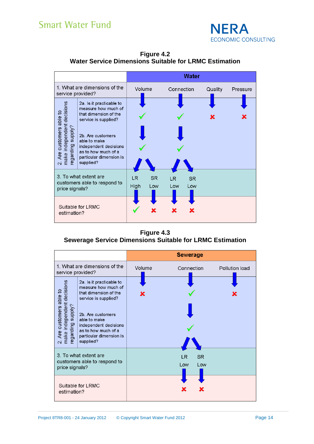

|                                                                                                                     |                                                                                                                                                                                                                               |             |            |                  | Water            |         |          |
|---------------------------------------------------------------------------------------------------------------------|-------------------------------------------------------------------------------------------------------------------------------------------------------------------------------------------------------------------------------|-------------|------------|------------------|------------------|---------|----------|
| 1. What are dimensions of the<br>service provided?                                                                  |                                                                                                                                                                                                                               | Volume      |            | Connection       |                  | Quality | Pressure |
| independent decisions<br>ting supply?<br>customers able to<br>regarding<br>Are<br>make i<br>$\overline{\mathbb{N}}$ | 2a. Is it practicable to<br>measure how much of<br>that dimension of the<br>service is supplied?<br>2b. Are customers<br>able to make<br>independent decisions<br>as to how much of a<br>particular dimension is<br>supplied? |             |            |                  |                  |         |          |
| 3. To what extent are<br>customers able to respond to<br>price signals?                                             |                                                                                                                                                                                                                               | LR.<br>High | SR.<br>Low | <b>LR</b><br>Low | <b>SR</b><br>Low |         |          |
| Suitable for LRMC<br>estimation?                                                                                    |                                                                                                                                                                                                                               |             |            |                  |                  |         |          |

**Figure 4.2 Water Service Dimensions Suitable for LRMC Estimation** 

**Figure 4.3 Sewerage Service Dimensions Suitable for LRMC Estimation** 

|                                                                                                             |                                                                                                                                                                                                                               |        | <b>Sewerage</b>               |                |
|-------------------------------------------------------------------------------------------------------------|-------------------------------------------------------------------------------------------------------------------------------------------------------------------------------------------------------------------------------|--------|-------------------------------|----------------|
| 1. What are dimensions of the<br>service provided?                                                          |                                                                                                                                                                                                                               | Volume | Connection                    | Pollution load |
| make independent decisions<br>regarding supply?<br>Are customers able to<br>$\overline{\mathbb{N}}$         | 2a. Is it practicable to<br>measure how much of<br>that dimension of the<br>service is supplied?<br>2b. Are customers<br>able to make<br>independent decisions<br>as to how much of a<br>particular dimension is<br>supplied? |        |                               |                |
| 3. To what extent are<br>customers able to respond to<br>price signals?<br>Suitable for LRMC<br>estimation? |                                                                                                                                                                                                                               |        | <b>SR</b><br>LR<br>Low<br>Low |                |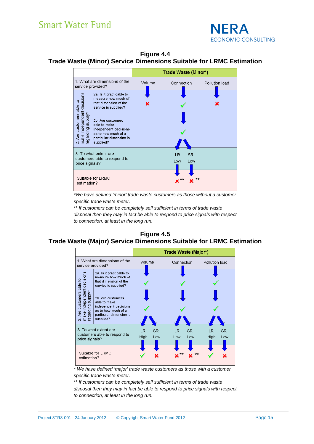

**Figure 4.4 Trade Waste (Minor) Service Dimensions Suitable for LRMC Estimation** 

|                                                                                                             |                                                                                                                                                                                                                               |        | Trade Waste (Minor*)           |                |
|-------------------------------------------------------------------------------------------------------------|-------------------------------------------------------------------------------------------------------------------------------------------------------------------------------------------------------------------------------|--------|--------------------------------|----------------|
| 1. What are dimensions of the<br>service provided?                                                          |                                                                                                                                                                                                                               | Volume | Connection                     | Pollution load |
| make independent decisions<br>regarding supply?<br>customers able to<br>Are<br>Ñ                            | 2a. Is it practicable to<br>measure how much of<br>that dimension of the<br>service is supplied?<br>2b. Are customers<br>able to make<br>independent decisions<br>as to how much of a<br>particular dimension is<br>supplied? |        |                                |                |
| 3. To what extent are<br>customers able to respond to<br>price signals?<br>Suitable for LRMC<br>estimation? |                                                                                                                                                                                                                               |        | <b>SR</b><br>LR.<br>Low<br>Low |                |

\*We have defined 'minor' trade waste customers as those without a customer specific trade waste meter.

\*\* If customers can be completely self sufficient in terms of trade waste disposal then they may in fact be able to respond to price signals with respect to connection, at least in the long run.

#### **Figure 4.5 Trade Waste (Major) Service Dimensions Suitable for LRMC Estimation**



\* We have defined 'major' trade waste customers as those with a customer specific trade waste meter.

\*\* If customers can be completely self sufficient in terms of trade waste

disposal then they may in fact be able to respond to price signals with respect to connection, at least in the long run.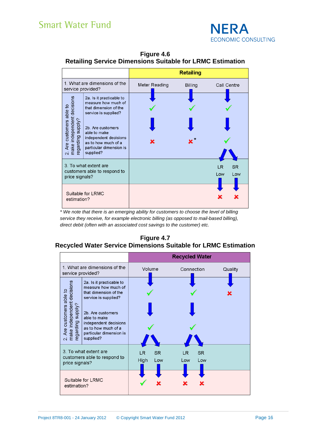

**Figure 4.6 Retailing Service Dimensions Suitable for LRMC Estimation** 

|                                                                                            |                                                                                                                                                                                                                               |               | <b>Retailing</b> |                               |
|--------------------------------------------------------------------------------------------|-------------------------------------------------------------------------------------------------------------------------------------------------------------------------------------------------------------------------------|---------------|------------------|-------------------------------|
| 1. What are dimensions of the<br>service provided?                                         |                                                                                                                                                                                                                               | Meter Reading | <b>Billing</b>   | Call Centre                   |
| make independent decisions<br>regarding supply?<br>Are customers able to<br>$\overline{N}$ | 2a. Is it practicable to<br>measure how much of<br>that dimension of the<br>service is supplied?<br>2b. Are customers<br>able to make<br>independent decisions<br>as to how much of a<br>particular dimension is<br>supplied? |               |                  |                               |
| 3. To what extent are<br>customers able to respond to<br>price signals?                    |                                                                                                                                                                                                                               |               |                  | <b>SR</b><br>LR<br>Low<br>Low |
| Suitable for LRMC<br>estimation?                                                           |                                                                                                                                                                                                                               |               |                  |                               |

\* We note that there is an emerging ability for customers to choose the level of billing service they receive, for example electronic billing (as opposed to mail-based billing), direct debit (often with an associated cost savings to the customer) etc.

### **Figure 4.7**

### **Recycled Water Service Dimensions Suitable for LRMC Estimation**

|                                                                                                                        |                                                                                                                                                                                                                               |             |                  | <b>Recycled Water</b> |                  |         |
|------------------------------------------------------------------------------------------------------------------------|-------------------------------------------------------------------------------------------------------------------------------------------------------------------------------------------------------------------------------|-------------|------------------|-----------------------|------------------|---------|
| 1. What are dimensions of the<br>service provided?                                                                     |                                                                                                                                                                                                                               | Volume      |                  | Connection            |                  | Quality |
| independent decisions<br>ting supply?<br>Are customers able to<br>garding<br>make i<br>ၜႍႜ<br>$\overline{\mathcal{N}}$ | 2a. Is it practicable to<br>measure how much of<br>that dimension of the<br>service is supplied?<br>2b. Are customers<br>able to make<br>independent decisions<br>as to how much of a<br>particular dimension is<br>supplied? |             |                  |                       |                  |         |
| price signals?<br>estimation?                                                                                          | 3. To what extent are<br>customers able to respond to<br>Suitable for LRMC                                                                                                                                                    | LR.<br>High | <b>SR</b><br>Low | LR.<br>Low            | <b>SR</b><br>Low |         |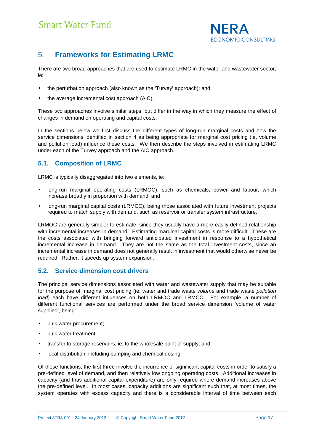

### 5. **Frameworks for Estimating LRMC**

There are two broad approaches that are used to estimate LRMC in the water and wastewater sector, ie:

- the perturbation approach (also known as the 'Turvey' approach); and
- the average incremental cost approach (AIC).

These two approaches involve similar steps, but differ in the way in which they measure the effect of changes in demand on operating and capital costs.

In the sections below we first discuss the different types of long-run marginal costs and how the service dimensions identified in section 4 as being appropriate for marginal cost pricing (ie, volume and pollution load) influence these costs. We then describe the steps involved in estimating LRMC under each of the Turvey approach and the AIC approach.

#### **5.1. Composition of LRMC**

LRMC is typically disaggregated into two elements, ie:

- long-run marginal operating costs (LRMOC), such as chemicals, power and labour, which increase broadly in proportion with demand; and
- long-run marginal capital costs (LRMCC), being those associated with future investment projects required to match supply with demand, such as reservoir or transfer system infrastructure.

LRMOC are generally simpler to estimate, since they usually have a more easily defined relationship with incremental increases in demand. Estimating marginal capital costs is more difficult. These are the costs associated with bringing forward anticipated investment in response to a hypothetical incremental increase in demand. They are not the same as the total investment costs, since an incremental increase in demand does not generally result in investment that would otherwise never be required. Rather, it speeds up system expansion.

#### **5.2. Service dimension cost drivers**

The principal service dimensions associated with water and wastewater supply that may be suitable for the purpose of marginal cost pricing (ie, water and trade waste volume and trade waste pollution load) each have different influences on both LRMOC and LRMCC. For example, a number of different functional services are performed under the broad service dimension 'volume of water supplied', being:

- bulk water procurement;
- bulk water treatment;
- transfer to storage reservoirs, ie, to the wholesale point of supply; and
- local distribution, including pumping and chemical dosing.

Of these functions, the first three involve the incurrence of significant capital costs in order to satisfy a pre-defined level of demand, and then relatively low ongoing operating costs. Additional increases in capacity (and thus additional capital expenditure) are only required where demand increases above the pre-defined level. In most cases, capacity additions are significant such that, at most times, the system operates with excess capacity and there is a considerable interval of time between each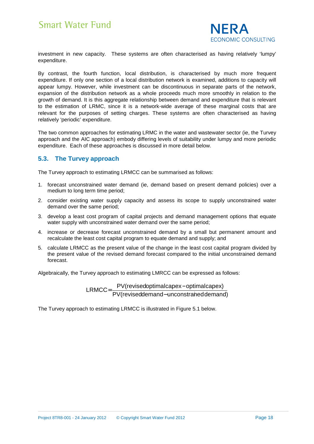

investment in new capacity. These systems are often characterised as having relatively 'lumpy' expenditure.

By contrast, the fourth function, local distribution, is characterised by much more frequent expenditure. If only one section of a local distribution network is examined, additions to capacity will appear lumpy. However, while investment can be discontinuous in separate parts of the network, expansion of the distribution network as a whole proceeds much more smoothly in relation to the growth of demand. It is this aggregate relationship between demand and expenditure that is relevant to the estimation of LRMC, since it is a network-wide average of these marginal costs that are relevant for the purposes of setting charges. These systems are often characterised as having relatively 'periodic' expenditure.

The two common approaches for estimating LRMC in the water and wastewater sector (ie, the Turvey approach and the AIC approach) embody differing levels of suitability under lumpy and more periodic expenditure. Each of these approaches is discussed in more detail below.

#### **5.3. The Turvey approach**

The Turvey approach to estimating LRMCC can be summarised as follows:

- 1. forecast unconstrained water demand (ie, demand based on present demand policies) over a medium to long term time period;
- 2. consider existing water supply capacity and assess its scope to supply unconstrained water demand over the same period;
- 3. develop a least cost program of capital projects and demand management options that equate water supply with unconstrained water demand over the same period;
- 4. increase or decrease forecast unconstrained demand by a small but permanent amount and recalculate the least cost capital program to equate demand and supply; and
- 5. calculate LRMCC as the present value of the change in the least cost capital program divided by the present value of the revised demand forecast compared to the initial unconstrained demand forecast.

Algebraically, the Turvey approach to estimating LMRCC can be expressed as follows:

PV(reviseddemand-unconstrained demand)  $LRMCC = \frac{PV(revisedoptimalcape x-optimalcape x)}{PW(EQ)}$ − = PV(revisedoptimalcapex-

The Turvey approach to estimating LRMCC is illustrated in Figure 5.1 below.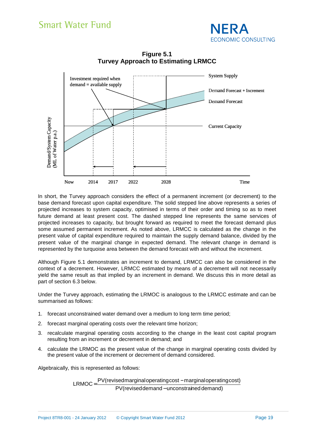



**Figure 5.1 Turvey Approach to Estimating LRMCC** 

In short, the Turvey approach considers the effect of a permanent increment (or decrement) to the base demand forecast upon capital expenditure. The solid stepped line above represents a series of projected increases to system capacity, optimised in terms of their order and timing so as to meet future demand at least present cost. The dashed stepped line represents the same services of projected increases to capacity, but brought forward as required to meet the forecast demand plus some assumed permanent increment. As noted above, LRMCC is calculated as the change in the present value of capital expenditure required to maintain the supply demand balance, divided by the present value of the marginal change in expected demand. The relevant change in demand is represented by the turquoise area between the demand forecast with and without the increment.

Although Figure 5.1 demonstrates an increment to demand, LRMCC can also be considered in the context of a decrement. However, LRMCC estimated by means of a decrement will not necessarily yield the same result as that implied by an increment in demand. We discuss this in more detail as part of section 6.3 below.

Under the Turvey approach, estimating the LRMOC is analogous to the LRMCC estimate and can be summarised as follows:

- 1. forecast unconstrained water demand over a medium to long term time period;
- 2. forecast marginal operating costs over the relevant time horizon;
- 3. recalculate marginal operating costs according to the change in the least cost capital program resulting from an increment or decrement in demand; and
- 4. calculate the LRMOC as the present value of the change in marginal operating costs divided by the present value of the increment or decrement of demand considered.

Algebraically, this is represented as follows:

$$
LRMOC = \frac{PV(revised marginal operating cost - marginal operating cost)}{PV(revised demand - unconstrained demand)}
$$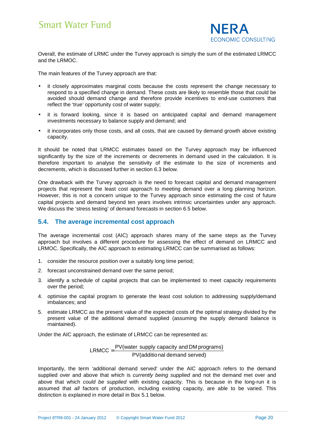

Overall, the estimate of LRMC under the Turvey approach is simply the sum of the estimated LRMCC and the LRMOC.

The main features of the Turvey approach are that:

- it closely approximates marginal costs because the costs represent the change necessary to respond to a specified change in demand. These costs are likely to resemble those that could be avoided should demand change and therefore provide incentives to end-use customers that reflect the 'true' opportunity cost of water supply;
- it is forward looking, since it is based on anticipated capital and demand management investments necessary to balance supply and demand; and
- it incorporates only those costs, and all costs, that are caused by demand growth above existing capacity.

It should be noted that LRMCC estimates based on the Turvey approach may be influenced significantly by the size of the increments or decrements in demand used in the calculation. It is therefore important to analyse the sensitivity of the estimate to the size of increments and decrements, which is discussed further in section 6.3 below.

One drawback with the Turvey approach is the need to forecast capital and demand management projects that represent the least cost approach to meeting demand over a long planning horizon. However, this is not a concern unique to the Turvey approach since estimating the cost of future capital projects and demand beyond ten years involves intrinsic uncertainties under any approach. We discuss the 'stress testing' of demand forecasts in section 6.5 below.

#### **5.4. The average incremental cost approach**

The average incremental cost (AIC) approach shares many of the same steps as the Turvey approach but involves a different procedure for assessing the effect of demand on LRMCC and LRMOC. Specifically, the AIC approach to estimating LRMCC can be summarised as follows:

- 1. consider the resource position over a suitably long time period;
- 2. forecast unconstrained demand over the same period;
- 3. identify a schedule of capital projects that can be implemented to meet capacity requirements over the period;
- 4. optimise the capital program to generate the least cost solution to addressing supply/demand imbalances; and
- 5. estimate LRMCC as the present value of the expected costs of the optimal strategy divided by the present value of the additional demand supplied (assuming the supply demand balance is maintained).

Under the AIC approach, the estimate of LRMCC can be represented as:

 $LRMCC = \frac{PV(water \text{ supply capacity and DM programs})}{PV(additional demand served)}$ 

Importantly, the term 'additional demand served' under the AIC approach refers to the demand supplied over and above that which is currently being supplied and not the demand met over and above that which could be supplied with existing capacity. This is because in the long-run it is assumed that all factors of production, including existing capacity, are able to be varied. This distinction is explained in more detail in Box 5.1 below.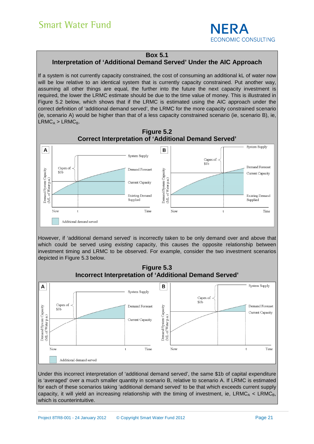

#### **Box 5.1**

#### **Interpretation of 'Additional Demand Served' Under the AIC Approach**

If a system is not currently capacity constrained, the cost of consuming an additional kL of water now will be low relative to an identical system that is currently capacity constrained. Put another way, assuming all other things are equal, the further into the future the next capacity investment is required, the lower the LRMC estimate should be due to the time value of money. This is illustrated in Figure 5.2 below, which shows that if the LRMC is estimated using the AIC approach under the correct definition of 'additional demand served', the LRMC for the more capacity constrained scenario (ie, scenario A) would be higher than that of a less capacity constrained scenario (ie, scenario B), ie,  $LRMC_A > LRMC_B$ .





Now

Current Capacity

Time

Now

Time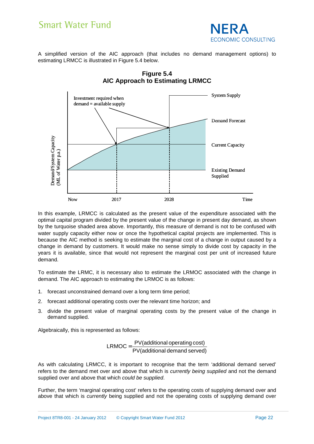

A simplified version of the AIC approach (that includes no demand management options) to estimating LRMCC is illustrated in Figure 5.4 below.



**Figure 5.4 AIC Approach to Estimating LRMCC** 

In this example, LRMCC is calculated as the present value of the expenditure associated with the optimal capital program divided by the present value of the change in present day demand, as shown by the turquoise shaded area above. Importantly, this measure of demand is not to be confused with water supply capacity either now or once the hypothetical capital projects are implemented. This is because the AIC method is seeking to estimate the marginal cost of a change in output caused by a change in demand by customers. It would make no sense simply to divide cost by capacity in the years it is available, since that would not represent the marginal cost per unit of increased future demand.

To estimate the LRMC, it is necessary also to estimate the LRMOC associated with the change in demand. The AIC approach to estimating the LRMOC is as follows:

- 1. forecast unconstrained demand over a long term time period;
- 2. forecast additional operating costs over the relevant time horizon; and
- 3. divide the present value of marginal operating costs by the present value of the change in demand supplied.

Algebraically, this is represented as follows:

$$
LRMOC = \frac{PV(additional operating cost)}{PV(additional demand served)}
$$

As with calculating LRMCC, it is important to recognise that the term 'additional demand served' refers to the demand met over and above that which is *currently being supplied* and not the demand supplied over and above that which could be supplied.

Further, the term 'marginal operating cost' refers to the operating costs of supplying demand over and above that which is *currently* being supplied and not the operating costs of supplying demand over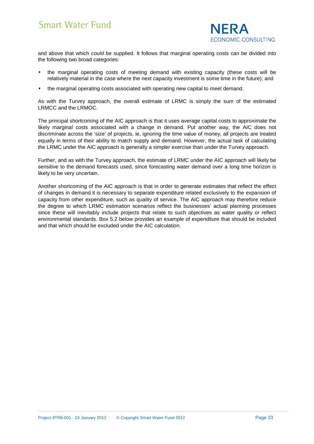

and above that which *could be* supplied. It follows that marginal operating costs can be divided into the following two broad categories:

- the marginal operating costs of meeting demand with existing capacity (these costs will be relatively material in the case where the next capacity investment is some time in the future); and
- the marginal operating costs associated with operating new capital to meet demand.

As with the Turvey approach, the overall estimate of LRMC is simply the sum of the estimated LRMCC and the LRMOC.

The principal shortcoming of the AIC approach is that it uses average capital costs to approximate the likely marginal costs associated with a change in demand. Put another way, the AIC does not discriminate across the 'size' of projects, ie, ignoring the time value of money, all projects are treated equally in terms of their ability to match supply and demand. However, the actual task of calculating the LRMC under the AIC approach is generally a simpler exercise than under the Turvey approach.

Further, and as with the Turvey approach, the estimate of LRMC under the AIC approach will likely be sensitive to the demand forecasts used, since forecasting water demand over a long time horizon is likely to be very uncertain.

Another shortcoming of the AIC approach is that in order to generate estimates that reflect the effect of changes in demand it is necessary to separate expenditure related exclusively to the expansion of capacity from other expenditure, such as quality of service. The AIC approach may therefore reduce the degree to which LRMC estimation scenarios reflect the businesses' actual planning processes since these will inevitably include projects that relate to such objectives as water quality or reflect environmental standards. Box 5.2 below provides an example of expenditure that should be included and that which should be excluded under the AIC calculation.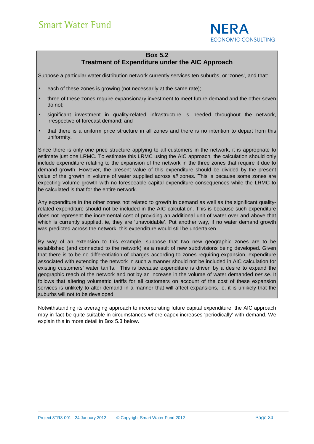

#### **Box 5.2**

### **Treatment of Expenditure under the AIC Approach**

Suppose a particular water distribution network currently services ten suburbs, or 'zones', and that:

- each of these zones is growing (not necessarily at the same rate);
- three of these zones require expansionary investment to meet future demand and the other seven do not;
- significant investment in quality-related infrastructure is needed throughout the network, irrespective of forecast demand; and
- that there is a uniform price structure in all zones and there is no intention to depart from this uniformity.

Since there is only one price structure applying to all customers in the network, it is appropriate to estimate just one LRMC. To estimate this LRMC using the AIC approach, the calculation should only include expenditure relating to the expansion of the network in the three zones that require it due to demand growth. However, the present value of this expenditure should be divided by the present value of the growth in volume of water supplied across all zones. This is because some zones are expecting volume growth with no foreseeable capital expenditure consequences while the LRMC to be calculated is that for the entire network.

Any expenditure in the other zones not related to growth in demand as well as the significant qualityrelated expenditure should not be included in the AIC calculation. This is because such expenditure does not represent the incremental cost of providing an additional unit of water over and above that which is currently supplied, ie, they are 'unavoidable'. Put another way, if no water demand growth was predicted across the network, this expenditure would still be undertaken.

By way of an extension to this example, suppose that two new geographic zones are to be established (and connected to the network) as a result of new subdivisions being developed. Given that there is to be no differentiation of charges according to zones requiring expansion, expenditure associated with extending the network in such a manner should not be included in AIC calculation for existing customers' water tariffs. This is because expenditure is driven by a desire to expand the geographic reach of the network and not by an increase in the volume of water demanded per se. It follows that altering volumetric tariffs for all customers on account of the cost of these expansion services is unlikely to alter demand in a manner that will affect expansions, ie, it is unlikely that the suburbs will not to be developed.

Notwithstanding its averaging approach to incorporating future capital expenditure, the AIC approach may in fact be quite suitable in circumstances where capex increases 'periodically' with demand. We explain this in more detail in Box 5.3 below.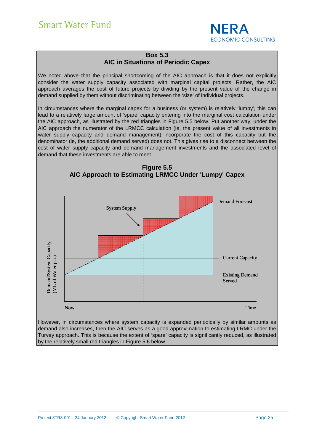

#### **Box 5.3 AIC in Situations of Periodic Capex**

We noted above that the principal shortcoming of the AIC approach is that it does not explicitly consider the water supply capacity associated with marginal capital projects. Rather, the AIC approach averages the cost of future projects by dividing by the present value of the change in demand supplied by them without discriminating between the 'size' of individual projects.

In circumstances where the marginal capex for a business (or system) is relatively 'lumpy', this can lead to a relatively large amount of 'spare' capacity entering into the marginal cost calculation under the AIC approach, as illustrated by the red triangles in Figure 5.5 below. Put another way, under the AIC approach the numerator of the LRMCC calculation (ie, the present value of all investments in water supply capacity and demand management) incorporate the cost of this capacity but the denominator (ie, the additional demand served) does not. This gives rise to a disconnect between the cost of water supply capacity and demand management investments and the associated level of demand that these investments are able to meet.



However, in circumstances where system capacity is expanded periodically by similar amounts as demand also increases, then the AIC serves as a good approximation to estimating LRMC under the Turvey approach. This is because the extent of 'spare' capacity is significantly reduced, as illustrated by the relatively small red triangles in Figure 5.6 below.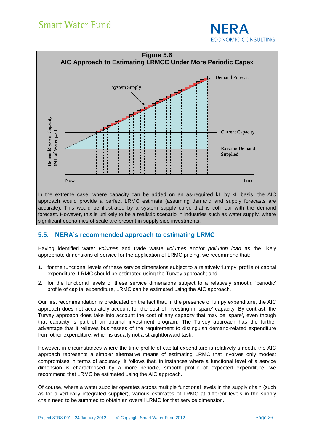



approach would provide a perfect LRMC estimate (assuming demand and supply forecasts are accurate). This would be illustrated by a system supply curve that is collinear with the demand forecast. However, this is unlikely to be a realistic scenario in industries such as water supply, where significant economies of scale are present in supply side investments.

#### **5.5. NERA's recommended approach to estimating LRMC**

Having identified water volumes and trade waste volumes and/or pollution load as the likely appropriate dimensions of service for the application of LRMC pricing, we recommend that:

- 1. for the functional levels of these service dimensions subject to a relatively 'lumpy' profile of capital expenditure, LRMC should be estimated using the Turvey approach; and
- 2. for the functional levels of these service dimensions subject to a relatively smooth, 'periodic' profile of capital expenditure, LRMC can be estimated using the AIC approach.

Our first recommendation is predicated on the fact that, in the presence of lumpy expenditure, the AIC approach does not accurately account for the cost of investing in 'spare' capacity. By contrast, the Turvey approach does take into account the cost of any capacity that may be 'spare', even though that capacity is part of an optimal investment program. The Turvey approach has the further advantage that it relieves businesses of the requirement to distinguish demand-related expenditure from other expenditure, which is usually not a straightforward task.

However, in circumstances where the time profile of capital expenditure is relatively smooth, the AIC approach represents a simpler alternative means of estimating LRMC that involves only modest compromises in terms of accuracy. It follows that, in instances where a functional level of a service dimension is characterised by a more periodic, smooth profile of expected expenditure, we recommend that LRMC be estimated using the AIC approach.

Of course, where a water supplier operates across multiple functional levels in the supply chain (such as for a vertically integrated supplier), various estimates of LRMC at different levels in the supply chain need to be summed to obtain an overall LRMC for that service dimension.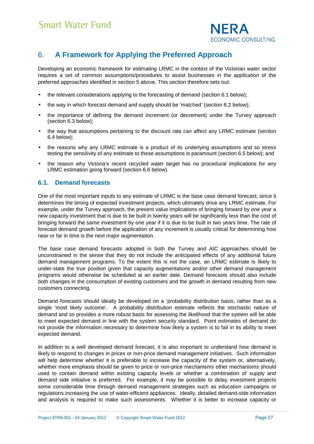

### 6. **A Framework for Applying the Preferred Approach**

Developing an economic framework for estimating LRMC in the context of the Victorian water sector requires a set of common assumptions/procedures to assist businesses in the application of the preferred approaches identified in section 5 above. This section therefore sets out:

- the relevant considerations applying to the forecasting of demand (section 6.1 below):
- the way in which forecast demand and supply should be 'matched' (section 6.2 below);
- the importance of defining the demand increment (or decrement) under the Turvey approach (section 6.3 below);
- the way that assumptions pertaining to the discount rate can affect any LRMC estimate (section 6.4 below);
- the reasons why any LRMC estimate is a product of its underlying assumptions and so stress testing the sensitivity of any estimate to these assumptions is paramount (section 6.5 below); and
- the reason why Victoria's recent recycled water target has no procedural implications for any LRMC estimation going forward (section 6.6 below).

#### **6.1. Demand forecasts**

One of the most important inputs to any estimate of LRMC is the base case demand forecast, since it determines the timing of expected investment projects, which ultimately drive any LRMC estimate. For example, under the Turvey approach, the present value implications of bringing forward by one year a new capacity investment that is due to be built in twenty years will be significantly less than the cost of bringing forward the same investment by one year if it is due to be built in two years time. The rate of forecast demand growth before the application of any increment is usually critical for determining how near or far in time is the next major augmentation.

The base case demand forecasts adopted in both the Turvey and AIC approaches should be unconstrained in the sense that they do not include the anticipated effects of any additional future demand management programs. To the extent this is not the case, an LRMC estimate is likely to under-state the true position given that capacity augmentations and/or other demand management programs would otherwise be scheduled at an earlier date. Demand forecasts should also include both changes in the consumption of existing customers and the growth in demand resulting from new customers connecting.

Demand forecasts should ideally be developed on a 'probability distribution basis, rather than as a single 'most likely outcome'. A probability distribution estimate reflects the stochastic nature of demand and so provides a more robust basis for assessing the likelihood that the system will be able to meet expected demand in line with the system security standard. Point estimates of demand do not provide the information necessary to determine how likely a system is to fail in its ability to meet expected demand.

In addition to a well developed demand forecast, it is also important to understand how demand is likely to respond to changes in prices or non-price demand management initiatives. Such information will help determine whether it is preferable to increase the capacity of the system or, alternatively, whether more emphasis should be given to price or non-price mechanisms other mechanisms should used to contain demand within existing capacity levels or whether a combination of supply and demand side initiative is preferred. For example, it may be possible to delay investment projects some considerable time through demand management strategies such as education campaigns or regulations increasing the use of water-efficient appliances. Ideally, detailed demand-side information and analysis is required to make such assessments. Whether it is better to increase capacity or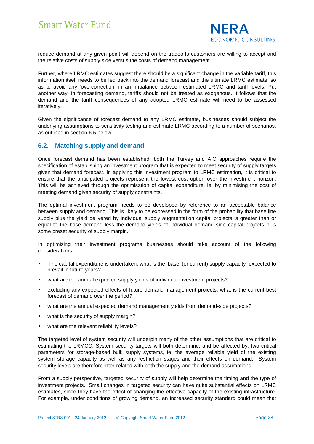

reduce demand at any given point will depend on the tradeoffs customers are willing to accept and the relative costs of supply side versus the costs of demand management.

Further, where LRMC estimates suggest there should be a significant change in the variable tariff, this information itself needs to be fed back into the demand forecast and the ultimate LRMC estimate, so as to avoid any 'overcorrection' in an imbalance between estimated LRMC and tariff levels. Put another way, in forecasting demand, tariffs should not be treated as exogenous. It follows that the demand and the tariff consequences of any adopted LRMC estimate will need to be assessed iteratively.

Given the significance of forecast demand to any LRMC estimate, businesses should subject the underlying assumptions to sensitivity testing and estimate LRMC according to a number of scenarios, as outlined in section 6.5 below.

#### **6.2. Matching supply and demand**

Once forecast demand has been established, both the Turvey and AIC approaches require the specification of establishing an investment program that is expected to meet security of supply targets given that demand forecast. In applying this investment program to LRMC estimation, it is critical to ensure that the anticipated projects represent the lowest cost option over the investment horizon. This will be achieved through the optimisation of capital expenditure, ie, by minimising the cost of meeting demand given security of supply constraints.

The optimal investment program needs to be developed by reference to an acceptable balance between supply and demand. This is likely to be expressed in the form of the probability that base line supply plus the yield delivered by individual supply augmentation capital projects is greater than or equal to the base demand less the demand yields of individual demand side capital projects plus some preset security of supply margin.

In optimising their investment programs businesses should take account of the following considerations:

- if no capital expenditure is undertaken, what is the 'base' (or current) supply capacity expected to prevail in future years?
- what are the annual expected supply yields of individual investment projects?
- excluding any expected effects of future demand management projects, what is the current best forecast of demand over the period?
- what are the annual expected demand management yields from demand-side projects?
- what is the security of supply margin?
- what are the relevant reliability levels?

The targeted level of system security will underpin many of the other assumptions that are critical to estimating the LRMCC. System security targets will both determine, and be affected by, two critical parameters for storage-based bulk supply systems, ie, the average reliable yield of the existing system storage capacity as well as any restriction stages and their effects on demand. System security levels are therefore inter-related with both the supply and the demand assumptions.

From a supply perspective, targeted security of supply will help determine the timing and the type of investment projects. Small changes in targeted security can have quite substantial effects on LRMC estimates, since they have the effect of changing the effective capacity of the existing infrastructure. For example, under conditions of growing demand, an increased security standard could mean that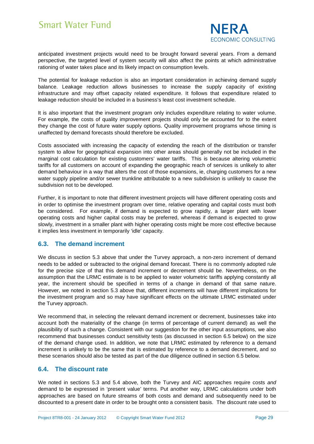

anticipated investment projects would need to be brought forward several years. From a demand perspective, the targeted level of system security will also affect the points at which administrative rationing of water takes place and its likely impact on consumption levels.

The potential for leakage reduction is also an important consideration in achieving demand supply balance. Leakage reduction allows businesses to increase the supply capacity of existing infrastructure and may offset capacity related expenditure. It follows that expenditure related to leakage reduction should be included in a business's least cost investment schedule.

It is also important that the investment program only includes expenditure relating to water volume. For example, the costs of quality improvement projects should only be accounted for to the extent they change the cost of future water supply options. Quality improvement programs whose timing is unaffected by demand forecasts should therefore be excluded.

Costs associated with increasing the capacity of extending the reach of the distribution or transfer system to allow for geographical expansion into other areas should generally not be included in the marginal cost calculation for existing customers' water tariffs. This is because altering volumetric tariffs for all customers on account of expanding the geographic reach of services is unlikely to alter demand behaviour in a way that alters the cost of those expansions, ie, charging customers for a new water supply pipeline and/or sewer trunkline attributable to a new subdivision is unlikely to cause the subdivision not to be developed.

Further, it is important to note that different investment projects will have different operating costs and in order to optimise the investment program over time, relative operating and capital costs must both be considered. For example, if demand is expected to grow rapidly, a larger plant with lower operating costs and higher capital costs may be preferred, whereas if demand is expected to grow slowly, investment in a smaller plant with higher operating costs might be more cost effective because it implies less investment in temporarily 'idle' capacity.

#### **6.3. The demand increment**

We discuss in section 5.3 above that under the Turvey approach, a non-zero increment of demand needs to be added or subtracted to the original demand forecast. There is no commonly adopted rule for the precise size of that this demand increment or decrement should be. Nevertheless, on the assumption that the LRMC estimate is to be applied to water volumetric tariffs applying constantly all year, the increment should be specified in terms of a change in demand of that same nature. However, we noted in section 5.3 above that, different increments will have different implications for the investment program and so may have significant effects on the ultimate LRMC estimated under the Turvey approach.

We recommend that, in selecting the relevant demand increment or decrement, businesses take into account both the materiality of the change (in terms of percentage of current demand) as well the plausibility of such a change. Consistent with our suggestion for the other input assumptions, we also recommend that businesses conduct sensitivity tests (as discussed in section 6.5 below) on the size of the demand change used. In addition, we note that LRMC estimated by reference to a demand increment is unlikely to be the same that is estimated by reference to a demand decrement, and so these scenarios should also be tested as part of the due diligence outlined in section 6.5 below.

#### **6.4. The discount rate**

We noted in sections 5.3 and 5.4 above, both the Turvey and AIC approaches require costs and demand to be expressed in 'present value' terms. Put another way, LRMC calculations under both approaches are based on future streams of both costs and demand and subsequently need to be discounted to a present date in order to be brought onto a consistent basis. The discount rate used to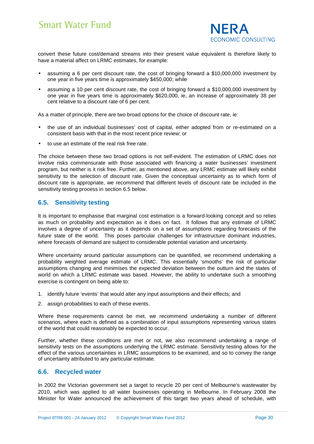

convert these future cost/demand streams into their present value equivalent is therefore likely to have a material affect on LRMC estimates, for example:

- assuming a 6 per cent discount rate, the cost of bringing forward a \$10,000,000 investment by one year in five years time is approximately \$450,000; while
- assuming a 10 per cent discount rate, the cost of bringing forward a \$10,000,000 investment by one year in five years time is approximately \$620,000, ie, an increase of approximately 38 per cent relative to a discount rate of 6 per cent.

As a matter of principle, there are two broad options for the choice of discount rate, ie:

- the use of an individual businesses' cost of capital, either adopted from or re-estimated on a consistent basis with that in the most recent price review; or
- to use an estimate of the real risk free rate.

The choice between these two broad options is not self-evident. The estimation of LRMC does not involve risks commensurate with those associated with financing a water businesses' investment program, but neither is it risk free. Further, as mentioned above, any LRMC estimate will likely exhibit sensitivity to the selection of discount rate. Given the conceptual uncertainty as to which form of discount rate is appropriate, we recommend that different levels of discount rate be included in the sensitivity testing process in section 6.5 below.

#### **6.5. Sensitivity testing**

It is important to emphasise that marginal cost estimation is a forward-looking concept and so relies as much on probability and expectation as it does on fact. It follows that any estimate of LRMC involves a degree of uncertainty as it depends on a set of assumptions regarding forecasts of the future state of the world. This poses particular challenges for infrastructure dominant industries, where forecasts of demand are subject to considerable potential variation and uncertainty.

Where uncertainty around particular assumptions can be quantified, we recommend undertaking a probability weighted average estimate of LRMC. This essentially 'smooths' the risk of particular assumptions changing and minimises the expected deviation between the outturn and the states of world on which a LRMC estimate was based. However, the ability to undertake such a smoothing exercise is contingent on being able to:

- 1. identify future 'events' that would alter any input assumptions and their effects; and
- 2. assign probabilities to each of these events.

Where these requirements cannot be met, we recommend undertaking a number of different scenarios, where each is defined as a combination of input assumptions representing various states of the world that could reasonably be expected to occur.

Further, whether these conditions are met or not, we also recommend undertaking a range of sensitivity tests on the assumptions underlying the LRMC estimate. Sensitivity testing allows for the effect of the various uncertainties in LRMC assumptions to be examined, and so to convey the range of uncertainty attributed to any particular estimate.

#### **6.6. Recycled water**

In 2002 the Victorian government set a target to recycle 20 per cent of Melbourne's wastewater by 2010, which was applied to all water businesses operating in Melbourne. In February 2008 the Minister for Water announced the achievement of this target two years ahead of schedule, with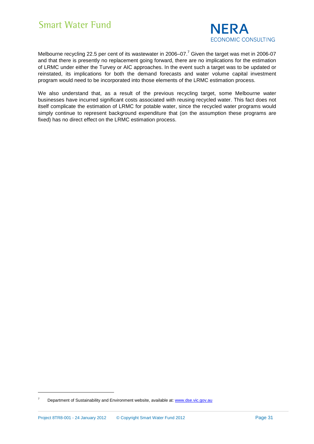

Melbourne recycling 22.5 per cent of its wastewater in 2006–07.<sup>7</sup> Given the target was met in 2006-07 and that there is presently no replacement going forward, there are no implications for the estimation of LRMC under either the Turvey or AIC approaches. In the event such a target was to be updated or reinstated, its implications for both the demand forecasts and water volume capital investment program would need to be incorporated into those elements of the LRMC estimation process.

We also understand that, as a result of the previous recycling target, some Melbourne water businesses have incurred significant costs associated with reusing recycled water. This fact does not itself complicate the estimation of LRMC for potable water, since the recycled water programs would simply continue to represent background expenditure that (on the assumption these programs are fixed) has no direct effect on the LRMC estimation process.

<sup>7</sup> Department of Sustainability and Environment website, available at: www.dse.vic.gov.au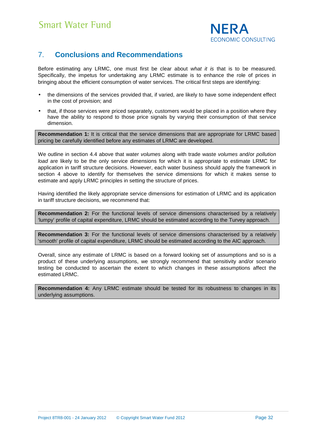

### 7. **Conclusions and Recommendations**

Before estimating any LRMC, one must first be clear about what it is that is to be measured. Specifically, the impetus for undertaking any LRMC estimate is to enhance the role of prices in bringing about the efficient consumption of water services. The critical first steps are identifying:

- the dimensions of the services provided that, if varied, are likely to have some independent effect in the cost of provision; and
- that, if those services were priced separately, customers would be placed in a position where they have the ability to respond to those price signals by varying their consumption of that service dimension.

**Recommendation 1:** It is critical that the service dimensions that are appropriate for LRMC based pricing be carefully identified before any estimates of LRMC are developed.

We outline in section 4.4 above that water *volumes* along with trade waste *volumes* and/or *pollution* load are likely to be the only service dimensions for which it is appropriate to estimate LRMC for application in tariff structure decisions. However, each water business should apply the framework in section 4 above to identify for themselves the service dimensions for which it makes sense to estimate and apply LRMC principles in setting the structure of prices.

Having identified the likely appropriate service dimensions for estimation of LRMC and its application in tariff structure decisions, we recommend that:

**Recommendation 2:** For the functional levels of service dimensions characterised by a relatively 'lumpy' profile of capital expenditure, LRMC should be estimated according to the Turvey approach.

**Recommendation 3:** For the functional levels of service dimensions characterised by a relatively 'smooth' profile of capital expenditure, LRMC should be estimated according to the AIC approach.

Overall, since any estimate of LRMC is based on a forward looking set of assumptions and so is a product of these underlying assumptions, we strongly recommend that sensitivity and/or scenario testing be conducted to ascertain the extent to which changes in these assumptions affect the estimated LRMC.

**Recommendation 4:** Any LRMC estimate should be tested for its robustness to changes in its underlying assumptions.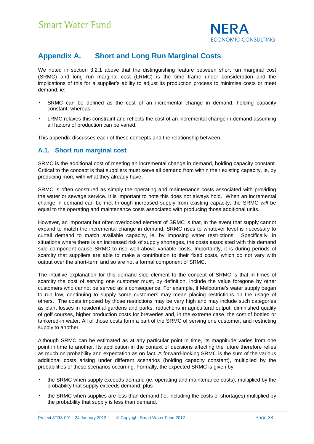

### **Appendix A. Short and Long Run Marginal Costs**

We noted in section 3.2.1 above that the distinguishing feature between short run marginal cost (SRMC) and long run marginal cost (LRMC) is the time frame under consideration and the implications of this for a supplier's ability to adjust its production process to minimise costs or meet demand, ie:

- SRMC can be defined as the cost of an incremental change in demand, holding capacity constant; whereas
- LRMC relaxes this constraint and reflects the cost of an incremental change in demand assuming all factors of production can be varied.

This appendix discusses each of these concepts and the relationship between.

#### **A.1. Short run marginal cost**

SRMC is the additional cost of meeting an incremental change in demand, holding capacity constant. Critical to the concept is that suppliers must serve all demand from within their existing capacity, ie, by producing more with what they already have.

SRMC is often construed as simply the operating and maintenance costs associated with providing the water or sewage service. It is important to note this does not always hold. When an incremental change in demand can be met through increased supply from existing capacity, the SRMC will be equal to the operating and maintenance costs associated with producing those additional units.

However, an important but often overlooked element of SRMC is that, in the event that supply cannot expand to match the incremental change in demand, SRMC rises to whatever level is necessary to curtail demand to match available capacity, ie, by imposing water restrictions. Specifically, in situations where there is an increased risk of supply shortages, the costs associated with this demand side component cause SRMC to rise well above variable costs. Importantly, it is during periods of scarcity that suppliers are able to make a contribution to their fixed costs, which do not vary with output over the short-term and so are not a formal component of SRMC.

The intuitive explanation for this demand side element to the concept of SRMC is that in times of scarcity the cost of serving one customer must, by definition, include the value foregone by other customers who cannot be served as a consequence. For example, if Melbourne's water supply began to run low, continuing to supply some customers may mean placing restrictions on the usage of others. The costs imposed by those restrictions may be very high and may include such categories as plant losses in residential gardens and parks, reductions in agricultural output, diminished quality of golf courses, higher production costs for breweries and, in the extreme case, the cost of bottled or tankered-in water. All of those costs form a part of the SRMC of serving one customer, and restricting supply to another.

Although SRMC can be estimated as at any particular point in time, its magnitude varies from one point in time to another. Its application in the context of decisions affecting the future therefore relies as much on probability and expectation as on fact. A forward-looking SRMC is the sum of the various additional costs arising under different scenarios (holding capacity constant), multiplied by the probabilities of these scenarios occurring. Formally, the expected SRMC is given by:

- the SRMC when supply exceeds demand (ie, operating and maintenance costs), multiplied by the probability that supply exceeds demand; plus
- the SRMC when supplies are less than demand (ie, including the costs of shortages) multiplied by the probability that supply is less than demand.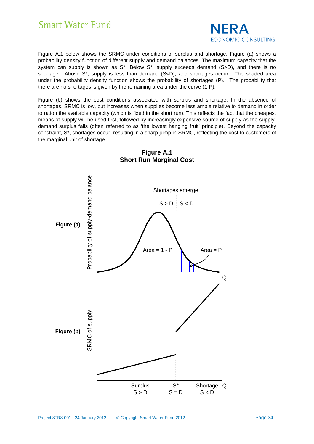

Figure A.1 below shows the SRMC under conditions of surplus and shortage. Figure (a) shows a probability density function of different supply and demand balances. The maximum capacity that the system can supply is shown as S<sup>\*</sup>. Below S<sup>\*</sup>, supply exceeds demand (S>D), and there is no shortage. Above  $S^*$ , supply is less than demand  $(S < D)$ , and shortages occur. The shaded area under the probability density function shows the probability of shortages (P). The probability that there are no shortages is given by the remaining area under the curve (1-P).

Figure (b) shows the cost conditions associated with surplus and shortage. In the absence of shortages, SRMC is low, but increases when supplies become less ample relative to demand in order to ration the available capacity (which is fixed in the short run). This reflects the fact that the cheapest means of supply will be used first, followed by increasingly expensive source of supply as the supplydemand surplus falls (often referred to as 'the lowest hanging fruit' principle). Beyond the capacity constraint, S\*, shortages occur, resulting in a sharp jump in SRMC, reflecting the cost to customers of the marginal unit of shortage.



#### **Figure A.1 Short Run Marginal Cost**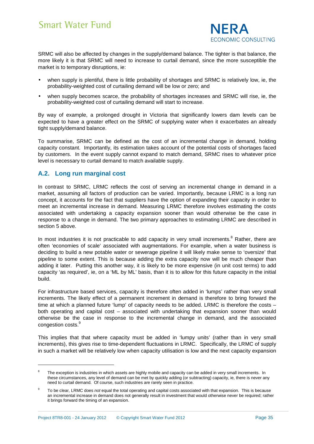

SRMC will also be affected by changes in the supply/demand balance. The tighter is that balance, the more likely it is that SRMC will need to increase to curtail demand, since the more susceptible the market is to temporary disruptions, ie:

- when supply is plentiful, there is little probability of shortages and SRMC is relatively low, ie, the probability-weighted cost of curtailing demand will be low or zero; and
- when supply becomes scarce, the probability of shortages increases and SRMC will rise, ie, the probability-weighted cost of curtailing demand will start to increase.

By way of example, a prolonged drought in Victoria that significantly lowers dam levels can be expected to have a greater effect on the SRMC of supplying water when it exacerbates an already tight supply/demand balance.

To summarise, SRMC can be defined as the cost of an incremental change in demand, holding capacity constant. Importantly, its estimation takes account of the potential costs of shortages faced by customers. In the event supply cannot expand to match demand, SRMC rises to whatever price level is necessary to curtail demand to match available supply.

#### **A.2. Long run marginal cost**

l

In contrast to SRMC, LRMC reflects the cost of serving an incremental change in demand in a market, assuming all factors of production can be varied. Importantly, because LRMC is a long run concept, it accounts for the fact that suppliers have the option of expanding their capacity in order to meet an incremental increase in demand. Measuring LRMC therefore involves estimating the costs associated with undertaking a capacity expansion sooner than would otherwise be the case in response to a change in demand. The two primary approaches to estimating LRMC are described in section 5 above.

In most industries it is not practicable to add capacity in very small increments.<sup>8</sup> Rather, there are often 'economies of scale' associated with augmentations. For example, when a water business is deciding to build a new potable water or sewerage pipeline it will likely make sense to 'oversize' that pipeline to some extent. This is because adding the extra capacity now will be much cheaper than adding it later. Putting this another way, it is likely to be more expensive (in unit cost terms) to add capacity 'as required', ie, on a 'ML by ML' basis, than it is to allow for this future capacity in the initial build.

For infrastructure based services, capacity is therefore often added in 'lumps' rather than very small increments. The likely effect of a permanent increment in demand is therefore to bring forward the time at which a planned future 'lump' of capacity needs to be added. LRMC is therefore the costs – both operating and capital cost – associated with undertaking that expansion sooner than would otherwise be the case in response to the incremental change in demand, and the associated congestion costs.<sup>9</sup>

This implies that that where capacity must be added in 'lumpy units' (rather than in very small increments), this gives rise to time-dependent fluctuations in LRMC. Specifically, the LRMC of supply in such a market will be relatively low when capacity utilisation is low and the next capacity expansion

<sup>8</sup> The exception is industries in which assets are highly mobile and capacity can be added in very small increments. In these circumstances, any level of demand can be met by quickly adding (or subtracting) capacity, ie, there is never any need to curtail demand. Of course, such industries are rarely seen in practice.

<sup>9</sup> To be clear, LRMC does not equal the total operating and capital costs associated with that expansion. This is because an incremental increase in demand does not generally result in investment that would otherwise never be required; rather it brings forward the timing of an expansion.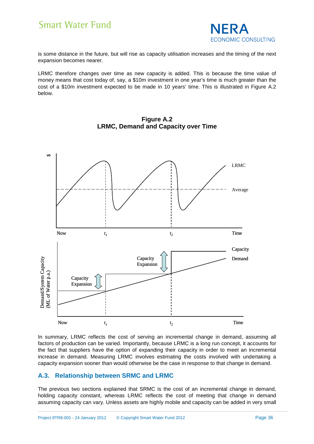

is some distance in the future, but will rise as capacity utilisation increases and the timing of the next expansion becomes nearer.

LRMC therefore changes over time as new capacity is added. This is because the time value of money means that cost today of, say, a \$10m investment in one year's time is much greater than the cost of a \$10m investment expected to be made in 10 years' time. This is illustrated in Figure A.2 below.



**Figure A.2 LRMC, Demand and Capacity over Time** 

In summary, LRMC reflects the cost of serving an incremental change in demand, assuming all factors of production can be varied. Importantly, because LRMC is a long run concept, it accounts for the fact that suppliers have the option of expanding their capacity in order to meet an incremental increase in demand. Measuring LRMC involves estimating the costs involved with undertaking a capacity expansion sooner than would otherwise be the case in response to that change in demand.

#### **A.3. Relationship between SRMC and LRMC**

The previous two sections explained that SRMC is the cost of an incremental change in demand, holding capacity constant, whereas LRMC reflects the cost of meeting that change in demand assuming capacity can vary. Unless assets are highly mobile and capacity can be added in very small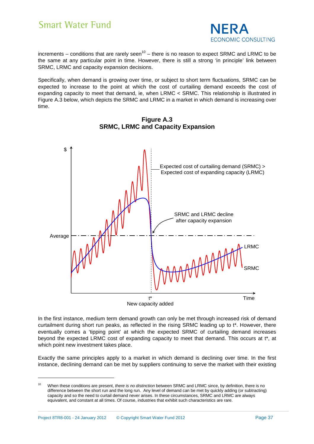

increments – conditions that are rarely seen<sup>10</sup> – there is no reason to expect SRMC and LRMC to be the same at any particular point in time. However, there is still a strong 'in principle' link between SRMC, LRMC and capacity expansion decisions.

Specifically, when demand is growing over time, or subject to short term fluctuations, SRMC can be expected to increase to the point at which the cost of curtailing demand exceeds the cost of expanding capacity to meet that demand, ie, when LRMC < SRMC. This relationship is illustrated in Figure A.3 below, which depicts the SRMC and LRMC in a market in which demand is increasing over time.



**Figure A.3 SRMC, LRMC and Capacity Expansion** 

New capacity added

In the first instance, medium term demand growth can only be met through increased risk of demand curtailment during short run peaks, as reflected in the rising SRMC leading up to t\*. However, there eventually comes a 'tipping point' at which the expected SRMC of curtailing demand increases beyond the expected LRMC cost of expanding capacity to meet that demand. This occurs at t\*, at which point new investment takes place.

Exactly the same principles apply to a market in which demand is declining over time. In the first instance, declining demand can be met by suppliers continuing to serve the market with their existing

<sup>&</sup>lt;sup>10</sup> When these conditions are present, *there is no distinction* between SRMC and LRMC since, by definition, there is no difference between the short run and the long run. Any level of demand can be met by quickly adding (or subtracting) capacity and so the need to curtail demand never arises. In these circumstances, SRMC and LRMC are always equivalent, and constant at all times. Of course, industries that exhibit such characteristics are rare.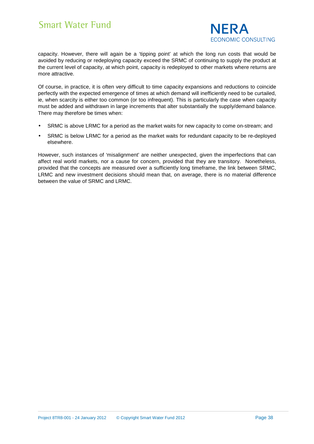

capacity. However, there will again be a 'tipping point' at which the long run costs that would be avoided by reducing or redeploying capacity exceed the SRMC of continuing to supply the product at the current level of capacity, at which point, capacity is redeployed to other markets where returns are more attractive.

Of course, in practice, it is often very difficult to time capacity expansions and reductions to coincide perfectly with the expected emergence of times at which demand will inefficiently need to be curtailed, ie, when scarcity is either too common (or too infrequent). This is particularly the case when capacity must be added and withdrawn in large increments that alter substantially the supply/demand balance. There may therefore be times when:

- SRMC is above LRMC for a period as the market waits for new capacity to come on-stream; and
- SRMC is below LRMC for a period as the market waits for redundant capacity to be re-deployed elsewhere.

However, such instances of 'misalignment' are neither unexpected, given the imperfections that can affect real world markets, nor a cause for concern, provided that they are transitory. Nonetheless, provided that the concepts are measured over a sufficiently long timeframe, the link between SRMC, LRMC and new investment decisions should mean that, on average, there is no material difference between the value of SRMC and LRMC.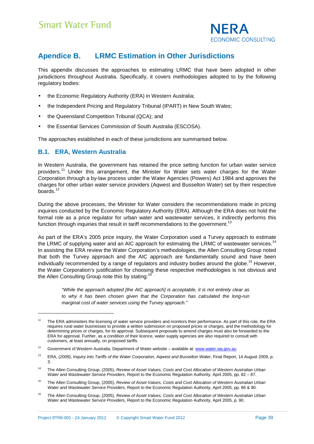

### **Apendice B. LRMC Estimation in Other Jurisdictions**

This appendix discusses the approaches to estimating LRMC that have been adopted in other jurisdictions throughout Australia. Specifically, it covers methodologies adopted to by the following regulatory bodies:

- the Economic Regulatory Authority (ERA) in Western Australia;
- the Independent Pricing and Regulatory Tribunal (IPART) in New South Wales;
- the Queensland Competition Tribunal (QCA); and
- the Essential Services Commission of South Australia (ESCOSA).

The approaches established in each of these jurisdictions are summarised below.

#### **B.1. ERA, Western Australia**

l

In Western Australia, the government has retained the price setting function for urban water service providers.<sup>11</sup> Under this arrangement, the Minister for Water sets water charges for the Water Corporation through a by-law process under the Water Agencies (Powers) Act 1984 and approves the charges for other urban water service providers (Aqwest and Busselton Water) set by their respective boards.<sup>12</sup>

During the above processes, the Minister for Water considers the recommendations made in pricing inquiries conducted by the Economic Regulatory Authority (ERA). Although the ERA does not hold the formal role as a price regulator for urban water and wastewater services, it indirectly performs this function through inquiries that result in tariff recommendations to the government.<sup>13</sup>

As part of the ERA's 2005 price inquiry, the Water Corporation used a Turvey approach to estimate the LRMC of supplying water and an AIC approach for estimating the LRMC of wastewater services.<sup>14</sup> In assisting the ERA review the Water Corporation's methodologies, the Allen Consulting Group noted that both the Turvey approach and the AIC approach are fundamentally sound and have been individually recommended by a range of regulators and industry bodies around the globe.<sup>15</sup> However, the Water Corporation's justification for choosing these respective methodologies is not obvious and the Allen Consulting Group note this by stating:<sup>1</sup>

> "While the approach adopted [the AIC approach] is acceptable, it is not entirely clear as to why it has been chosen given that the Corporation has calculated the long-run marginal cost of water services using the Turvey approach."

- <sup>15</sup> The Allen Consulting Group, (2005), Review of Asset Values, Costs and Cost Allocation of Western Australian Urban Water and Wastewater Service Providers, Report to the Economic Regulation Authority, April 2005, pp. 86 & 90.
- <sup>16</sup> The Allen Consulting Group, (2005), Review of Asset Values, Costs and Cost Allocation of Western Australian Urban Water and Wastewater Service Providers, Report to the Economic Regulation Authority, April 2005, p. 90.

<sup>&</sup>lt;sup>11</sup> The ERA administers the licensing of water service providers and monitors their performance. As part of this role, the ERA requires rural water businesses to provide a written submission on proposed prices or charges, and the methodology for determining prices or charges, for its approval. Subsequent proposals to amend charges must also be forwarded to the ERA for approval. Further, as a condition of their licence, water supply agencies are also required to consult with customers, at least annually, on proposed tariffs.

<sup>&</sup>lt;sup>12</sup> Government of Western Australia, Department of Water website – available at: www.water.wa.gov.au

<sup>&</sup>lt;sup>13</sup> ERA, (2009), *Inquiry into Tariffs of the Water Corporation, Aqwest and Busselton Water*, Final Report, 14 August 2009, p. 3.

<sup>&</sup>lt;sup>14</sup> The Allen Consulting Group, (2005), Review of Asset Values, Costs and Cost Allocation of Western Australian Urban Water and Wastewater Service Providers, Report to the Economic Regulation Authority, April 2005, pp. 82 – 87.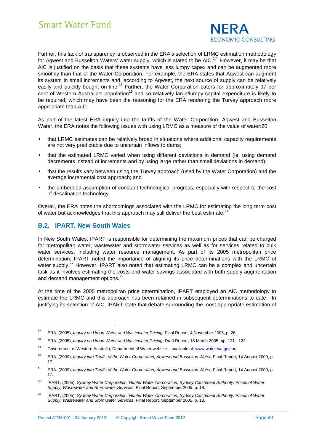

Further, this lack of transparency is observed in the ERA's selection of LRMC estimation methodology for Aqwest and Busselton Waters' water supply, which is stated to be AIC.<sup>17</sup> However, it may be that AIC is justified on the basis that these systems have less lumpy capex and can be augmented more smoothly than that of the Water Corporation. For example, the ERA states that Aqwest can augment its system in small increments and, according to Aqwest, the next source of supply can be relatively easily and quickly bought on line.<sup>18</sup> Further, the Water Corporation caters for approximately 97 per cent of Western Australia's population<sup>19</sup> and so relatively large/lumpy capital expenditure is likely to be required, which may have been the reasoning for the ERA rendering the Turvey approach more appropriate than AIC.

As part of the latest ERA inquiry into the tariffs of the Water Corporation, Aqwest and Busselton Water, the ERA notes the following issues with using LRMC as a measure of the value of water:20

- that LRMC estimates can be relatively broad in situations where additional capacity requirements are not very predictable due to uncertain inflows to dams;
- that the estimated LRMC varied when using different deviations in demand (ie, using demand decrements instead of increments and by using large rather than small deviations in demand);
- that the results vary between using the Turvey approach (used by the Water Corporation) and the average incremental cost approach; and
- the embedded assumption of constant technological progress, especially with respect to the cost of desalination technology.

Overall, the ERA notes the shortcomings associated with the LRMC for estimating the long term cost of water but acknowledges that this approach may still deliver the best estimate. $^{21}$ 

#### **B.2. IPART, New South Wales**

l

In New South Wales, IPART is responsible for determining the maximum prices that can be charged for metropolitan water, wastewater and stormwater services as well as for services related to bulk water services, including water resource management. As part of its 2005 metropolitan price determination, IPART noted the importance of aligning its price determinations with the LRMC of water supply.<sup>22</sup> However, IPART also noted that estimating LRMC can be a complex and uncertain task as it involves estimating the costs and water savings associated with both supply augmentation and demand management options.<sup>23</sup>

At the time of the 2005 metropolitan price determination, IPART employed an AIC methodology to estimate the LRMC and this approach has been retained in subsequent determinations to date. In justifying its selection of AIC, IPART state that debate surrounding the most appropriate estimation of

<sup>&</sup>lt;sup>17</sup> ERA, (2005), *Inquiry on Urban Water and Wastewater Pricing*, Final Report, 4 November 2005, p. 26.

<sup>&</sup>lt;sup>18</sup> ERA, (2005), *Inquiry on Urban Water and Wastewater Pricing*, Draft Report, 18 March 2005, pp. 121 - 122.

<sup>&</sup>lt;sup>19</sup> Government of Western Australia, Department of Water website – available at: www.water.wa.gov.au

<sup>&</sup>lt;sup>20</sup> ERA, (2009), *Inquiry into Tariffs of the Water Corporation, Aqwest and Busselton Water*, Final Report, 14 August 2009, p. 17.

<sup>&</sup>lt;sup>21</sup> ERA, (2009), *Inquiry into Tariffs of the Water Corporation, Aqwest and Busselton Water*, Final Report, 14 August 2009, p. 17.

<sup>&</sup>lt;sup>22</sup> IPART, (2005), Sydney Water Corporation, Hunter Water Corporation, Sydney Catchment Authority: Prices of Water Supply, Wastewater and Stormwater Services, Final Report, September 2005, p. 18.

<sup>&</sup>lt;sup>23</sup> IPART, (2005), Sydney Water Corporation, Hunter Water Corporation, Sydney Catchment Authority: Prices of Water Supply, Wastewater and Stormwater Services, Final Report, September 2005, p. 18.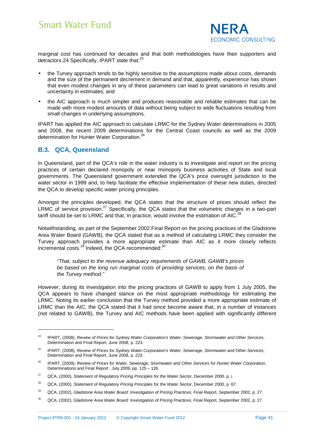

marginal cost has continued for decades and that both methodologies have their supporters and detractors.24 Specifically, IPART state that:<sup>25</sup>

- the Turvey approach tends to be highly sensitive to the assumptions made about costs, demands and the size of the permanent decrement in demand and that, apparently, experience has shown that even modest changes in any of these parameters can lead to great variations in results and uncertainty in estimates; and
- the AIC approach is much simpler and produces reasonable and reliable estimates that can be made with more modest amounts of data without being subject to wide fluctuations resulting from small changes in underlying assumptions.

IPART has applied the AIC approach to calculate LRMC for the Sydney Water determinations in 2005 and 2008, the recent 2009 determinations for the Central Coast councils as well as the 2009 determination for Hunter Water Corporation.<sup>26</sup>

#### **B.3. QCA, Queensland**

l

In Queensland, part of the QCA's role in the water industry is to investigate and report on the pricing practices of certain declared monopoly or near monopoly business activities of State and local governments. The Queensland government extended the QCA's price oversight jurisdiction to the water sector in 1999 and, to help facilitate the effective implementation of these new duties, directed the QCA to develop specific water pricing principles.

Amongst the principles developed, the QCA states that the structure of prices should reflect the LRMC of service provision.<sup>27</sup> Specifically, the QCA states that the volumetric charges in a two-part tariff should be set to LRMC and that, in practice, would involve the estimation of AIC.<sup>28</sup>

Notwithstanding, as part of the September 2002 Final Report on the pricing practices of the Gladstone Area Water Board (GAWB), the QCA stated that as a method of calculating LRMC they consider the Turvey approach provides a more appropriate estimate than AIC as it more closely reflects incremental costs.<sup>29</sup> Indeed, the QCA recommended: $^{30}$ 

"That, subject to the revenue adequacy requirements of GAWB, GAWB's prices be based on the long run marginal costs of providing services, on the basis of the Turvey method."

However, during its investigation into the pricing practices of GAWB to apply from 1 July 2005, the QCA appears to have changed stance on the most appropriate methodology for estimating the LRMC. Noting its earlier conclusion that the Turvey method provided a more appropriate estimate of LRMC than the AIC, the QCA stated that it had since become aware that, in a number of instances (not related to GAWB), the Turvey and AIC methods have been applied with significantly different

<sup>&</sup>lt;sup>24</sup> IPART, (2008), Review of Prices for Sydney Water Corporation's Water, Sewerage, Stormwater and Other Services, Determination and Final Report, June 2008, p. 223.

<sup>&</sup>lt;sup>25</sup> IPART, (2008), Review of Prices for Sydney Water Corporation's Water, Sewerage, Stormwater and Other Services, Determination and Final Report, June 2008, p. 223.

<sup>&</sup>lt;sup>26</sup> IPART, (2009), Review of Prices for Water, Sewerage, Stormwater and Other Services for Hunter Water Corporation, Determinations and Final Report , July 2009, pp. 125 – 126.

<sup>&</sup>lt;sup>27</sup> QCA, (2000), Statement of Regulatory Pricing Principles for the Water Sector, December 2000, p. i.

<sup>&</sup>lt;sup>28</sup> QCA, (2000), Statement of Regulatory Pricing Principles for the Water Sector, December 2000, p. 67.

<sup>&</sup>lt;sup>29</sup> QCA, (2002), Gladstone Area Water Board: Investigation of Pricing Practices, Final Report, September 2002, p. 27.

<sup>&</sup>lt;sup>30</sup> QCA, (2002), Gladstone Area Water Board: Investigation of Pricing Practices, Final Report, September 2002, p. 27.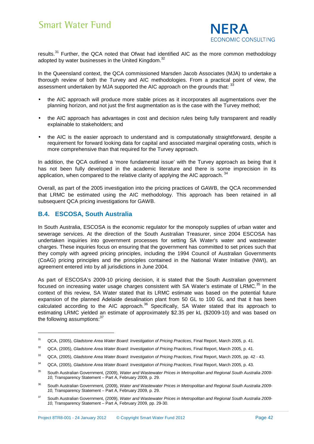

results.<sup>31</sup> Further, the QCA noted that Ofwat had identified AIC as the more common methodology adopted by water businesses in the United Kingdom. $^{32}$ 

In the Queensland context, the QCA commissioned Marsden Jacob Associates (MJA) to undertake a thorough review of both the Turvey and AIC methodologies. From a practical point of view, the assessment undertaken by MJA supported the AIC approach on the grounds that: 33

- the AIC approach will produce more stable prices as it incorporates all augmentations over the planning horizon, and not just the first augmentation as is the case with the Turvey method;
- the AIC approach has advantages in cost and decision rules being fully transparent and readily explainable to stakeholders; and
- the AIC is the easier approach to understand and is computationally straightforward, despite a requirement for forward looking data for capital and associated marginal operating costs, which is more comprehensive than that required for the Turvey approach.

In addition, the QCA outlined a 'more fundamental issue' with the Turvey approach as being that it has not been fully developed in the academic literature and there is some imprecision in its application, when compared to the relative clarity of applying the AIC approach.  $34$ 

Overall, as part of the 2005 investigation into the pricing practices of GAWB, the QCA recommended that LRMC be estimated using the AIC methodology. This approach has been retained in all subsequent QCA pricing investigations for GAWB.

#### **B.4. ESCOSA, South Australia**

l

In South Australia, ESCOSA is the economic regulator for the monopoly supplies of urban water and sewerage services. At the direction of the South Australian Treasurer, since 2004 ESCOSA has undertaken inquiries into government processes for setting SA Water's water and wastewater charges. These inquiries focus on ensuring that the government has committed to set prices such that they comply with agreed pricing principles, including the 1994 Council of Australian Governments (CoAG) pricing principles and the principles contained in the National Water Initiative (NWI), an agreement entered into by all jurisdictions in June 2004.

As part of ESCOSA's 2009-10 pricing decision, it is stated that the South Australian government focused on increasing water usage charges consistent with SA Water's estimate of LRMC.<sup>35</sup> In the context of this review, SA Water stated that its LRMC estimate was based on the potential future expansion of the planned Adelaide desalination plant from 50 GL to 100 GL and that it has been calculated according to the AIC approach.<sup>36</sup> Specifically, SA Water stated that its approach to estimating LRMC yielded an estimate of approximately \$2.35 per kL (\$2009-10) and was based on the following assumptions:<sup>37</sup>

<sup>&</sup>lt;sup>31</sup> QCA, (2005), Gladstone Area Water Board: Investigation of Pricing Practices, Final Report, March 2005, p. 41.

 $32$  QCA, (2005), Gladstone Area Water Board: Investigation of Pricing Practices, Final Report, March 2005, p. 41.

<sup>&</sup>lt;sup>33</sup> QCA, (2005), Gladstone Area Water Board: Investigation of Pricing Practices, Final Report, March 2005, pp. 42 - 43.

<sup>&</sup>lt;sup>34</sup> QCA, (2005), Gladstone Area Water Board: Investigation of Pricing Practices, Final Report, March 2005, p. 43.

<sup>&</sup>lt;sup>35</sup> South Australian Government, (2009), Water and Wastewater Prices in Metropolitan and Regional South Australia 2009-10, Transparency Statement – Part A, February 2009, p. 29.

<sup>&</sup>lt;sup>36</sup> South Australian Government, (2009), Water and Wastewater Prices in Metropolitan and Regional South Australia 2009-10, Transparency Statement – Part A, February 2009, p. 29.

<sup>&</sup>lt;sup>37</sup> South Australian Government, (2009), Water and Wastewater Prices in Metropolitan and Regional South Australia 2009-10, Transparency Statement – Part A, February 2009, pp. 29-30.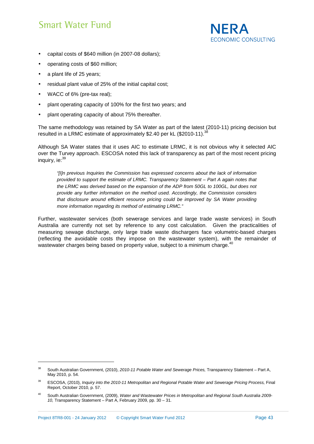

- capital costs of \$640 million (in 2007-08 dollars);
- operating costs of \$60 million;
- a plant life of 25 years;
- residual plant value of 25% of the initial capital cost;
- WACC of 6% (pre-tax real);
- plant operating capacity of 100% for the first two years; and
- plant operating capacity of about 75% thereafter.

The same methodology was retained by SA Water as part of the latest (2010-11) pricing decision but resulted in a LRMC estimate of approximately \$2.40 per kL (\$2010-11).<sup>38</sup>

Although SA Water states that it uses AIC to estimate LRMC, it is not obvious why it selected AIC over the Turvey approach. ESCOSA noted this lack of transparency as part of the most recent pricing inquiry, ie:<sup>39</sup>

"[I]n previous Inquiries the Commission has expressed concerns about the lack of information provided to support the estimate of LRMC. Transparency Statement – Part A again notes that the LRMC was derived based on the expansion of the ADP from 50GL to 100GL, but does not provide any further information on the method used. Accordingly, the Commission considers that disclosure around efficient resource pricing could be improved by SA Water providing more information regarding its method of estimating LRMC."

Further, wastewater services (both sewerage services and large trade waste services) in South Australia are currently not set by reference to any cost calculation. Given the practicalities of measuring sewage discharge, only large trade waste dischargers face volumetric-based charges (reflecting the avoidable costs they impose on the wastewater system), with the remainder of wastewater charges being based on property value, subject to a minimum charge.<sup>40</sup>

<sup>&</sup>lt;sup>38</sup> South Australian Government, (2010), 2010-11 Potable Water and Sewerage Prices, Transparency Statement – Part A, May 2010, p. 54.

<sup>39</sup> ESCOSA, (2010), Inquiry into the 2010-11 Metropolitan and Regional Potable Water and Sewerage Pricing Process, Final Report, October 2010, p. 57.

<sup>&</sup>lt;sup>40</sup> South Australian Government, (2009), Water and Wastewater Prices in Metropolitan and Regional South Australia 2009-10, Transparency Statement – Part A, February 2009, pp. 30 – 31.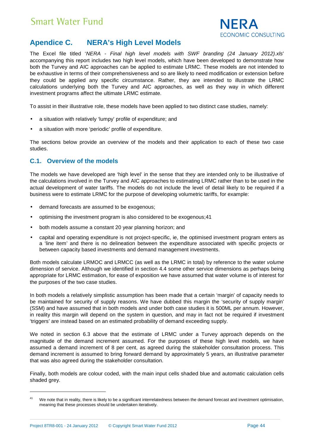

### **Apendice C. NERA's High Level Models**

The Excel file titled 'NERA - Final high level models with SWF branding (24 January 2012).xls' accompanying this report includes two high level models, which have been developed to demonstrate how both the Turvey and AIC approaches can be applied to estimate LRMC. These models are not intended to be exhaustive in terms of their comprehensiveness and so are likely to need modification or extension before they could be applied any specific circumstance. Rather, they are intended to illustrate the LRMC calculations underlying both the Turvey and AIC approaches, as well as they way in which different investment programs affect the ultimate LRMC estimate.

To assist in their illustrative role, these models have been applied to two distinct case studies, namely:

- a situation with relatively 'lumpy' profile of expenditure; and
- a situation with more 'periodic' profile of expenditure.

The sections below provide an overview of the models and their application to each of these two case studies.

#### **C.1. Overview of the models**

The models we have developed are 'high level' in the sense that they are intended only to be illustrative of the calculations involved in the Turvey and AIC approaches to estimating LRMC rather than to be used in the actual development of water tariffs. The models do not include the level of detail likely to be required if a business were to estimate LRMC for the purpose of developing volumetric tariffs, for example:

- demand forecasts are assumed to be exogenous;
- optimising the investment program is also considered to be exogenous;41
- both models assume a constant 20 year planning horizon; and
- capital and operating expenditure is not project-specific, ie, the optimised investment program enters as a 'line item' and there is no delineation between the expenditure associated with specific projects or between capacity based investments and demand management investments.

Both models calculate LRMOC and LRMCC (as well as the LRMC in total) by reference to the water volume dimension of service. Although we identified in section 4.4 some other service dimensions as perhaps being appropriate for LRMC estimation, for ease of exposition we have assumed that water volume is of interest for the purposes of the two case studies.

In both models a relatively simplistic assumption has been made that a certain 'margin' of capacity needs to be maintained for security of supply reasons. We have dubbed this margin the 'security of supply margin' (SSM) and have assumed that in both models and under both case studies it is 500ML per annum. However, in reality this margin will depend on the system in question, and may in fact not be required if investment 'triggers' are instead based on an estimated probability of demand exceeding supply.

We noted in section 6.3 above that the estimate of LRMC under a Turvey approach depends on the magnitude of the demand increment assumed. For the purposes of these high level models, we have assumed a demand increment of 8 per cent, as agreed during the stakeholder consultation process. This demand increment is assumed to bring forward demand by approximately 5 years, an illustrative parameter that was also agreed during the stakeholder consultation.

Finally, both models are colour coded, with the main input cells shaded blue and automatic calculation cells shaded grey.

<sup>&</sup>lt;sup>41</sup> We note that in reality, there is likely to be a significant interrelatedness between the demand forecast and investment optimisation, meaning that these processes should be undertaken iteratively.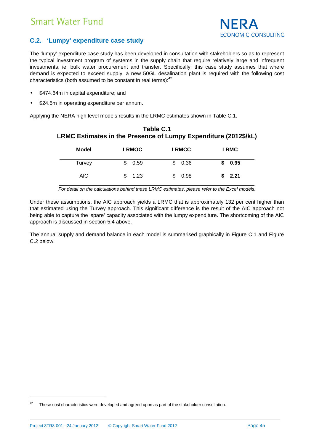

#### **C.2. 'Lumpy' expenditure case study**

The 'lumpy' expenditure case study has been developed in consultation with stakeholders so as to represent the typical investment program of systems in the supply chain that require relatively large and infrequent investments, ie, bulk water procurement and transfer. Specifically, this case study assumes that where demand is expected to exceed supply, a new 50GL desalination plant is required with the following cost characteristics (both assumed to be constant in real terms): $42$ 

- \$474.64m in capital expenditure; and
- \$24.5m in operating expenditure per annum.

Applying the NERA high level models results in the LRMC estimates shown in Table C.1.

| Model  | <b>LRMOC</b> | <b>LRMCC</b> | <b>LRMC</b> |
|--------|--------------|--------------|-------------|
| Turvey | 0.59         | 0.36         | 0.95        |
| AIC.   | 1.23         | 0.98         | \$2.21      |

#### **Table C.1 LRMC Estimates in the Presence of Lumpy Expenditure (2012\$/kL)**

For detail on the calculations behind these LRMC estimates, please refer to the Excel models.

Under these assumptions, the AIC approach yields a LRMC that is approximately 132 per cent higher than that estimated using the Turvey approach. This significant difference is the result of the AIC approach not being able to capture the 'spare' capacity associated with the lumpy expenditure. The shortcoming of the AIC approach is discussed in section 5.4 above.

The annual supply and demand balance in each model is summarised graphically in Figure C.1 and Figure C.2 below.

 $42$  These cost characteristics were developed and agreed upon as part of the stakeholder consultation.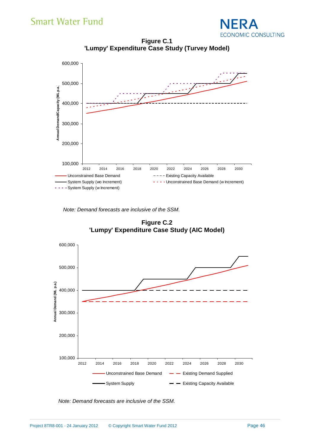

**Figure C.1 'Lumpy' Expenditure Case Study (Turvey Model)** 



Note: Demand forecasts are inclusive of the SSM.

**Figure C.2 'Lumpy' Expenditure Case Study (AIC Model)** 



Note: Demand forecasts are inclusive of the SSM.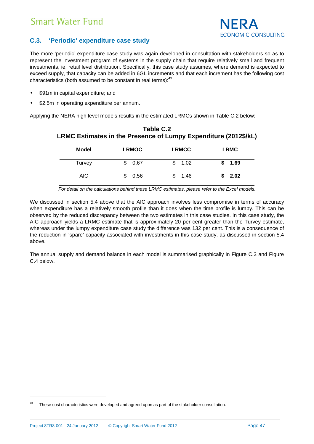

#### **C.3. 'Periodic' expenditure case study**

The more 'periodic' expenditure case study was again developed in consultation with stakeholders so as to represent the investment program of systems in the supply chain that require relatively small and frequent investments, ie, retail level distribution. Specifically, this case study assumes, where demand is expected to exceed supply, that capacity can be added in 6GL increments and that each increment has the following cost characteristics (both assumed to be constant in real terms): $43$ 

- \$91m in capital expenditure; and
- \$2.5m in operating expenditure per annum.

Applying the NERA high level models results in the estimated LRMCs shown in Table C.2 below:

| Model  | <b>LRMOC</b> | <b>LRMCC</b> | <b>LRMC</b> |
|--------|--------------|--------------|-------------|
| Turvey | 0.67         | 1.02         | 1.69        |
| AIC    | 0.56         | 1.46         | \$2.02      |

#### **Table C.2 LRMC Estimates in the Presence of Lumpy Expenditure (2012\$/kL)**

For detail on the calculations behind these LRMC estimates, please refer to the Excel models.

We discussed in section 5.4 above that the AIC approach involves less compromise in terms of accuracy when expenditure has a relatively smooth profile than it does when the time profile is lumpy. This can be observed by the reduced discrepancy between the two estimates in this case studies. In this case study, the AIC approach yields a LRMC estimate that is approximately 20 per cent greater than the Turvey estimate, whereas under the lumpy expenditure case study the difference was 132 per cent. This is a consequence of the reduction in 'spare' capacity associated with investments in this case study, as discussed in section 5.4 above.

The annual supply and demand balance in each model is summarised graphically in Figure C.3 and Figure C.4 below.

 $43$  These cost characteristics were developed and agreed upon as part of the stakeholder consultation.